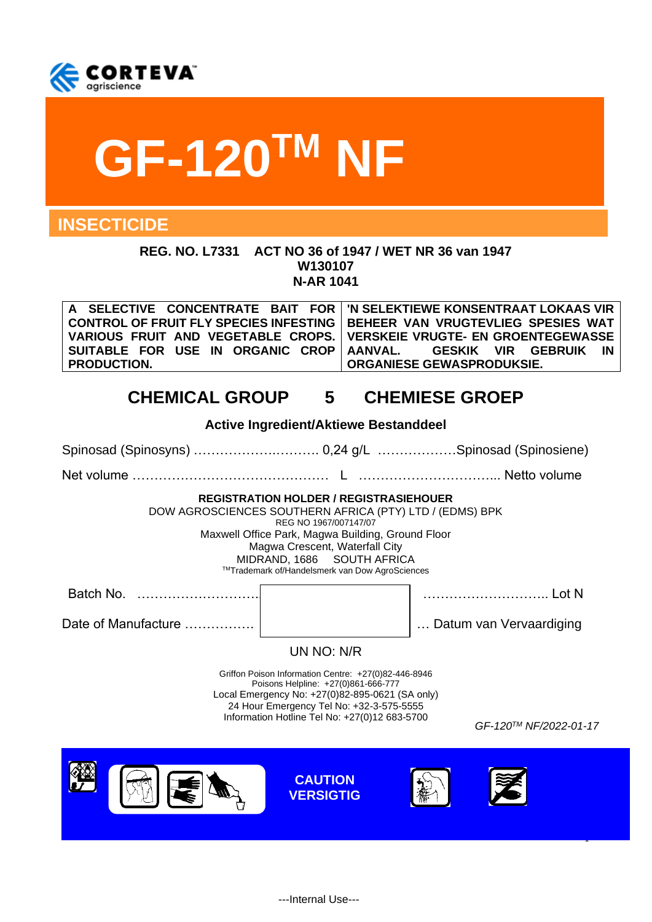

# **GF-120TM NF**

# **INSECTICIDE**

**REG. NO. L7331 ACT NO 36 of 1947 / WET NR 36 van 1947 W130107 N-AR 1041**

| A SELECTIVE CONCENTRATE BAIT FOR   'N SELEKTIEWE KONSENTRAAT LOKAAS VIR |                                                                                      |
|-------------------------------------------------------------------------|--------------------------------------------------------------------------------------|
|                                                                         | ∣ CONTROL OF FRUIT FLY SPECIES INFESTING ∣ BEHEER  VAN  VRUGTEVLIEG  SPESIES  WAT  ∣ |
| VARIOUS FRUIT AND VEGETABLE CROPS.   VERSKEIE VRUGTE- EN GROENTEGEWASSE |                                                                                      |
|                                                                         |                                                                                      |
| <b>PRODUCTION.</b>                                                      | ORGANIESE GEWASPRODUKSIE.                                                            |

# **CHEMICAL GROUP 5 CHEMIESE GROEP**

| <b>Active Ingredient/Aktiewe Bestanddeel</b>                                                                                                                                                                                                                                                             |                                    |                         |  |
|----------------------------------------------------------------------------------------------------------------------------------------------------------------------------------------------------------------------------------------------------------------------------------------------------------|------------------------------------|-------------------------|--|
| Spinosad (Spinosyns)  0,24 g/L Spinosad (Spinosiene)                                                                                                                                                                                                                                                     |                                    |                         |  |
|                                                                                                                                                                                                                                                                                                          |                                    |                         |  |
| <b>REGISTRATION HOLDER / REGISTRASIEHOUER</b><br>DOW AGROSCIENCES SOUTHERN AFRICA (PTY) LTD / (EDMS) BPK<br>REG NO 1967/007147/07<br>Maxwell Office Park, Magwa Building, Ground Floor<br>Magwa Crescent, Waterfall City<br>MIDRAND, 1686 SOUTH AFRICA<br>™Trademark of/Handelsmerk van Dow AgroSciences |                                    |                         |  |
| Batch No.                                                                                                                                                                                                                                                                                                |                                    |                         |  |
| Date of Manufacture                                                                                                                                                                                                                                                                                      |                                    | Datum van Vervaardiging |  |
|                                                                                                                                                                                                                                                                                                          | UN NO: N/R                         |                         |  |
| Griffon Poison Information Centre: +27(0)82-446-8946<br>Poisons Helpline: +27(0)861-666-777<br>Local Emergency No: +27(0)82-895-0621 (SA only)<br>24 Hour Emergency Tel No: +32-3-575-5555<br>Information Hotline Tel No: +27(0)12 683-5700<br>GF-120™ NF/2022-01-17                                     |                                    |                         |  |
|                                                                                                                                                                                                                                                                                                          | <b>CAUTION</b><br><b>VERSIGTIG</b> |                         |  |
|                                                                                                                                                                                                                                                                                                          |                                    |                         |  |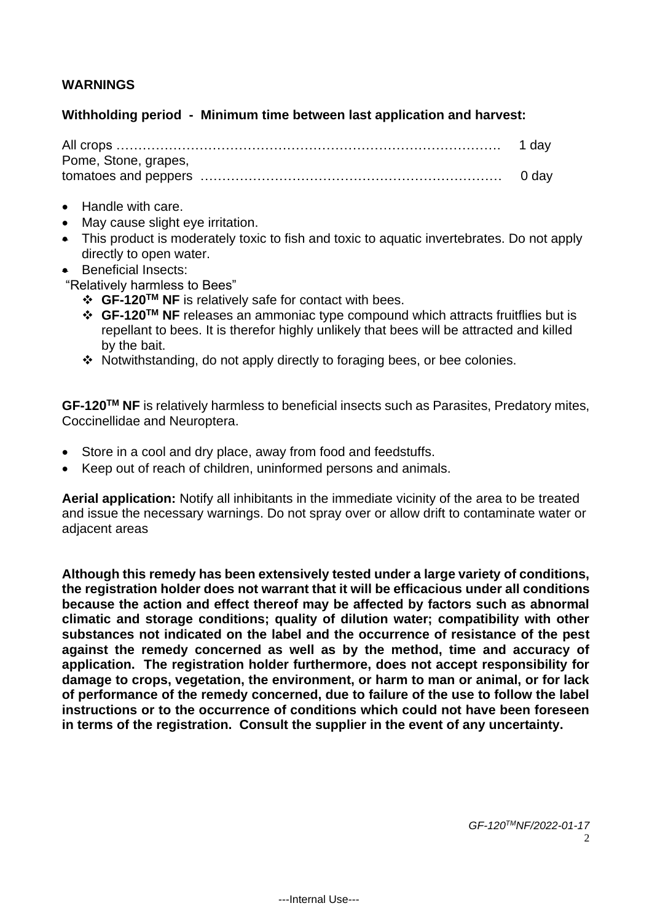# **WARNINGS**

#### **Withholding period - Minimum time between last application and harvest:**

| Pome, Stone, grapes, |  |
|----------------------|--|
|                      |  |

- Handle with care.
- May cause slight eye irritation.
- This product is moderately toxic to fish and toxic to aquatic invertebrates. Do not apply directly to open water.
- Beneficial Insects:
- "Relatively harmless to Bees"
	- ❖ **GF-120TM NF** is relatively safe for contact with bees.
	- ❖ **GF-120TM NF** releases an ammoniac type compound which attracts fruitflies but is repellant to bees. It is therefor highly unlikely that bees will be attracted and killed by the bait.
	- ❖ Notwithstanding, do not apply directly to foraging bees, or bee colonies.

**GF-120TM NF** is relatively harmless to beneficial insects such as Parasites, Predatory mites, Coccinellidae and Neuroptera.

- Store in a cool and dry place, away from food and feedstuffs.
- Keep out of reach of children, uninformed persons and animals.

**Aerial application:** Notify all inhibitants in the immediate vicinity of the area to be treated and issue the necessary warnings. Do not spray over or allow drift to contaminate water or adjacent areas

**Although this remedy has been extensively tested under a large variety of conditions, the registration holder does not warrant that it will be efficacious under all conditions because the action and effect thereof may be affected by factors such as abnormal climatic and storage conditions; quality of dilution water; compatibility with other substances not indicated on the label and the occurrence of resistance of the pest against the remedy concerned as well as by the method, time and accuracy of application. The registration holder furthermore, does not accept responsibility for damage to crops, vegetation, the environment, or harm to man or animal, or for lack of performance of the remedy concerned, due to failure of the use to follow the label instructions or to the occurrence of conditions which could not have been foreseen in terms of the registration. Consult the supplier in the event of any uncertainty.**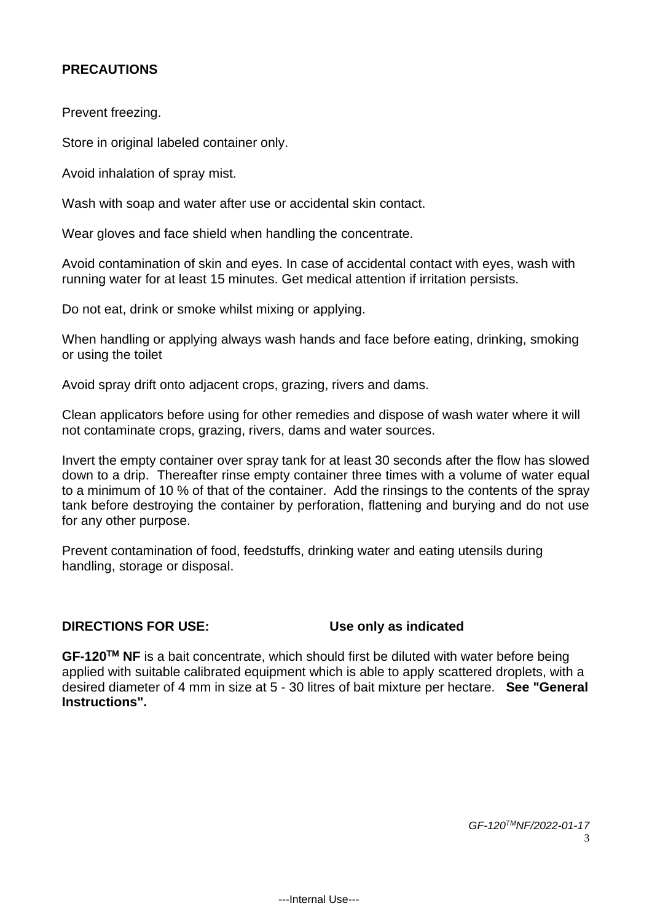# **PRECAUTIONS**

Prevent freezing.

Store in original labeled container only.

Avoid inhalation of spray mist.

Wash with soap and water after use or accidental skin contact.

Wear gloves and face shield when handling the concentrate.

Avoid contamination of skin and eyes. In case of accidental contact with eyes, wash with running water for at least 15 minutes. Get medical attention if irritation persists.

Do not eat, drink or smoke whilst mixing or applying.

When handling or applying always wash hands and face before eating, drinking, smoking or using the toilet

Avoid spray drift onto adjacent crops, grazing, rivers and dams.

Clean applicators before using for other remedies and dispose of wash water where it will not contaminate crops, grazing, rivers, dams and water sources.

Invert the empty container over spray tank for at least 30 seconds after the flow has slowed down to a drip. Thereafter rinse empty container three times with a volume of water equal to a minimum of 10 % of that of the container. Add the rinsings to the contents of the spray tank before destroying the container by perforation, flattening and burying and do not use for any other purpose.

Prevent contamination of food, feedstuffs, drinking water and eating utensils during handling, storage or disposal.

#### **DIRECTIONS FOR USE: Use only as indicated**

**GF-120TM NF** is a bait concentrate, which should first be diluted with water before being applied with suitable calibrated equipment which is able to apply scattered droplets, with a desired diameter of 4 mm in size at 5 - 30 litres of bait mixture per hectare. **See "General Instructions".**

> *GF-120TMNF/2022-01-17* 3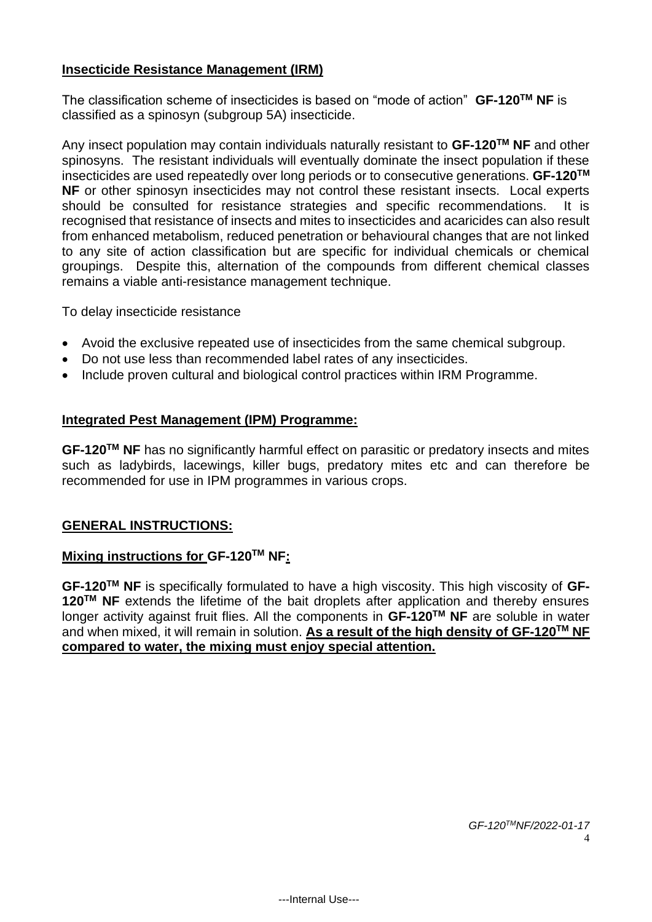#### **Insecticide Resistance Management (IRM)**

The classification scheme of insecticides is based on "mode of action" **GF-120TM NF** is classified as a spinosyn (subgroup 5A) insecticide.

Any insect population may contain individuals naturally resistant to **GF-120TM NF** and other spinosyns. The resistant individuals will eventually dominate the insect population if these insecticides are used repeatedly over long periods or to consecutive generations. **GF-120TM NF** or other spinosyn insecticides may not control these resistant insects. Local experts should be consulted for resistance strategies and specific recommendations. It is recognised that resistance of insects and mites to insecticides and acaricides can also result from enhanced metabolism, reduced penetration or behavioural changes that are not linked to any site of action classification but are specific for individual chemicals or chemical groupings. Despite this, alternation of the compounds from different chemical classes remains a viable anti-resistance management technique.

To delay insecticide resistance

- Avoid the exclusive repeated use of insecticides from the same chemical subgroup.
- Do not use less than recommended label rates of any insecticides.
- Include proven cultural and biological control practices within IRM Programme.

#### **Integrated Pest Management (IPM) Programme:**

**GF-120TM NF** has no significantly harmful effect on parasitic or predatory insects and mites such as ladybirds, lacewings, killer bugs, predatory mites etc and can therefore be recommended for use in IPM programmes in various crops.

#### **GENERAL INSTRUCTIONS:**

#### **Mixing instructions for GF-120TM NF:**

**GF-120TM NF** is specifically formulated to have a high viscosity. This high viscosity of **GF-120TM NF** extends the lifetime of the bait droplets after application and thereby ensures longer activity against fruit flies. All the components in **GF-120TM NF** are soluble in water and when mixed, it will remain in solution. **As a result of the high density of GF-120TM NF compared to water, the mixing must enjoy special attention.**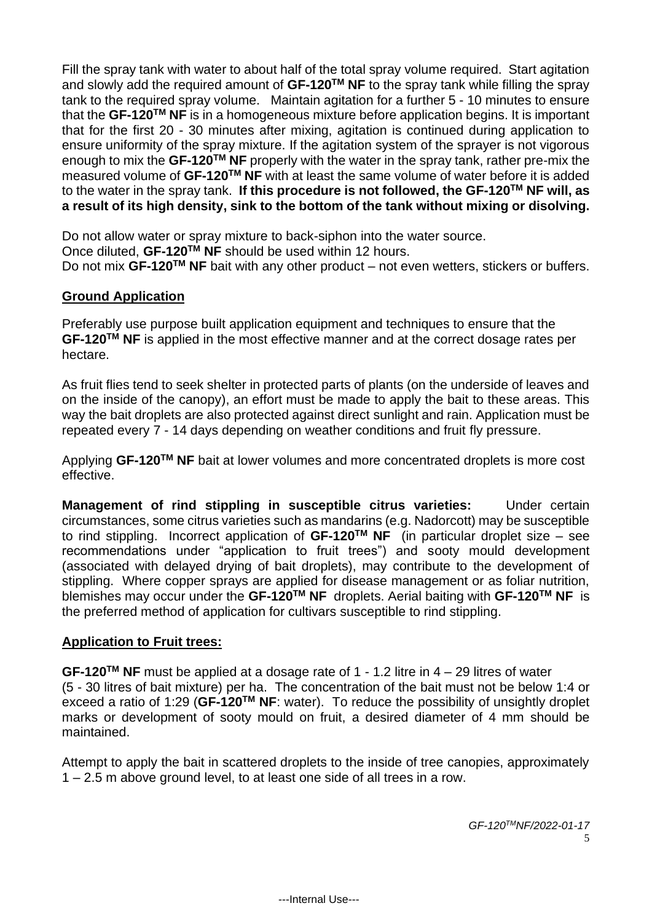Fill the spray tank with water to about half of the total spray volume required. Start agitation and slowly add the required amount of **GF-120TM NF** to the spray tank while filling the spray tank to the required spray volume. Maintain agitation for a further 5 - 10 minutes to ensure that the **GF-120TM NF** is in a homogeneous mixture before application begins. It is important that for the first 20 - 30 minutes after mixing, agitation is continued during application to ensure uniformity of the spray mixture. If the agitation system of the sprayer is not vigorous enough to mix the **GF-120TM NF** properly with the water in the spray tank, rather pre-mix the measured volume of **GF-120TM NF** with at least the same volume of water before it is added to the water in the spray tank. **If this procedure is not followed, the GF-120TM NF will, as a result of its high density, sink to the bottom of the tank without mixing or disolving.**

Do not allow water or spray mixture to back-siphon into the water source. Once diluted, **GF-120TM NF** should be used within 12 hours. Do not mix **GF-120TM NF** bait with any other product – not even wetters, stickers or buffers.

# **Ground Application**

Preferably use purpose built application equipment and techniques to ensure that the **GF-120TM NF** is applied in the most effective manner and at the correct dosage rates per hectare.

As fruit flies tend to seek shelter in protected parts of plants (on the underside of leaves and on the inside of the canopy), an effort must be made to apply the bait to these areas. This way the bait droplets are also protected against direct sunlight and rain. Application must be repeated every 7 - 14 days depending on weather conditions and fruit fly pressure.

Applying **GF-120TM NF** bait at lower volumes and more concentrated droplets is more cost effective.

**Management of rind stippling in susceptible citrus varieties:** Under certain circumstances, some citrus varieties such as mandarins (e.g. Nadorcott) may be susceptible to rind stippling. Incorrect application of **GF-120TM NF** (in particular droplet size – see recommendations under "application to fruit trees") and sooty mould development (associated with delayed drying of bait droplets), may contribute to the development of stippling. Where copper sprays are applied for disease management or as foliar nutrition, blemishes may occur under the **GF-120TM NF** droplets. Aerial baiting with **GF-120TM NF** is the preferred method of application for cultivars susceptible to rind stippling.

#### **Application to Fruit trees:**

**GF-120TM NF** must be applied at a dosage rate of 1 - 1.2 litre in 4 – 29 litres of water (5 - 30 litres of bait mixture) per ha. The concentration of the bait must not be below 1:4 or exceed a ratio of 1:29 (**GF-120TM NF**: water). To reduce the possibility of unsightly droplet marks or development of sooty mould on fruit, a desired diameter of 4 mm should be maintained.

Attempt to apply the bait in scattered droplets to the inside of tree canopies, approximately 1 – 2.5 m above ground level, to at least one side of all trees in a row.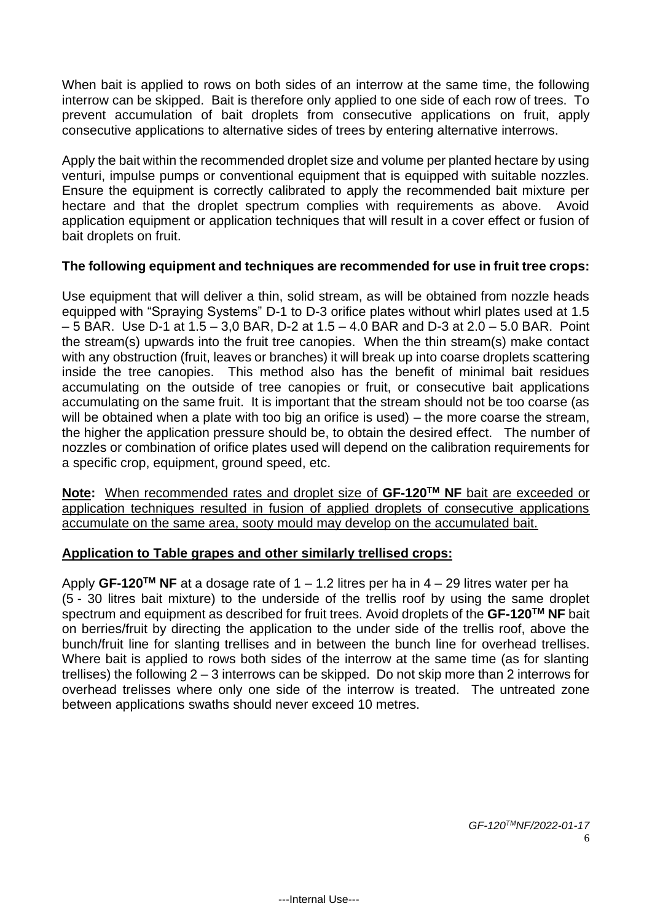When bait is applied to rows on both sides of an interrow at the same time, the following interrow can be skipped. Bait is therefore only applied to one side of each row of trees. To prevent accumulation of bait droplets from consecutive applications on fruit, apply consecutive applications to alternative sides of trees by entering alternative interrows.

Apply the bait within the recommended droplet size and volume per planted hectare by using venturi, impulse pumps or conventional equipment that is equipped with suitable nozzles. Ensure the equipment is correctly calibrated to apply the recommended bait mixture per hectare and that the droplet spectrum complies with requirements as above. Avoid application equipment or application techniques that will result in a cover effect or fusion of bait droplets on fruit.

#### **The following equipment and techniques are recommended for use in fruit tree crops:**

Use equipment that will deliver a thin, solid stream, as will be obtained from nozzle heads equipped with "Spraying Systems" D-1 to D-3 orifice plates without whirl plates used at 1.5 – 5 BAR. Use D-1 at 1.5 – 3,0 BAR, D-2 at 1.5 – 4.0 BAR and D-3 at 2.0 – 5.0 BAR. Point the stream(s) upwards into the fruit tree canopies. When the thin stream(s) make contact with any obstruction (fruit, leaves or branches) it will break up into coarse droplets scattering inside the tree canopies. This method also has the benefit of minimal bait residues accumulating on the outside of tree canopies or fruit, or consecutive bait applications accumulating on the same fruit. It is important that the stream should not be too coarse (as will be obtained when a plate with too big an orifice is used) – the more coarse the stream, the higher the application pressure should be, to obtain the desired effect. The number of nozzles or combination of orifice plates used will depend on the calibration requirements for a specific crop, equipment, ground speed, etc.

**Note:** When recommended rates and droplet size of **GF-120TM NF** bait are exceeded or application techniques resulted in fusion of applied droplets of consecutive applications accumulate on the same area, sooty mould may develop on the accumulated bait.

# **Application to Table grapes and other similarly trellised crops:**

Apply **GF-120TM NF** at a dosage rate of 1 – 1.2 litres per ha in 4 – 29 litres water per ha (5 - 30 litres bait mixture) to the underside of the trellis roof by using the same droplet spectrum and equipment as described for fruit trees. Avoid droplets of the **GF-120TM NF** bait on berries/fruit by directing the application to the under side of the trellis roof, above the bunch/fruit line for slanting trellises and in between the bunch line for overhead trellises. Where bait is applied to rows both sides of the interrow at the same time (as for slanting trellises) the following 2 – 3 interrows can be skipped. Do not skip more than 2 interrows for overhead trelisses where only one side of the interrow is treated. The untreated zone between applications swaths should never exceed 10 metres.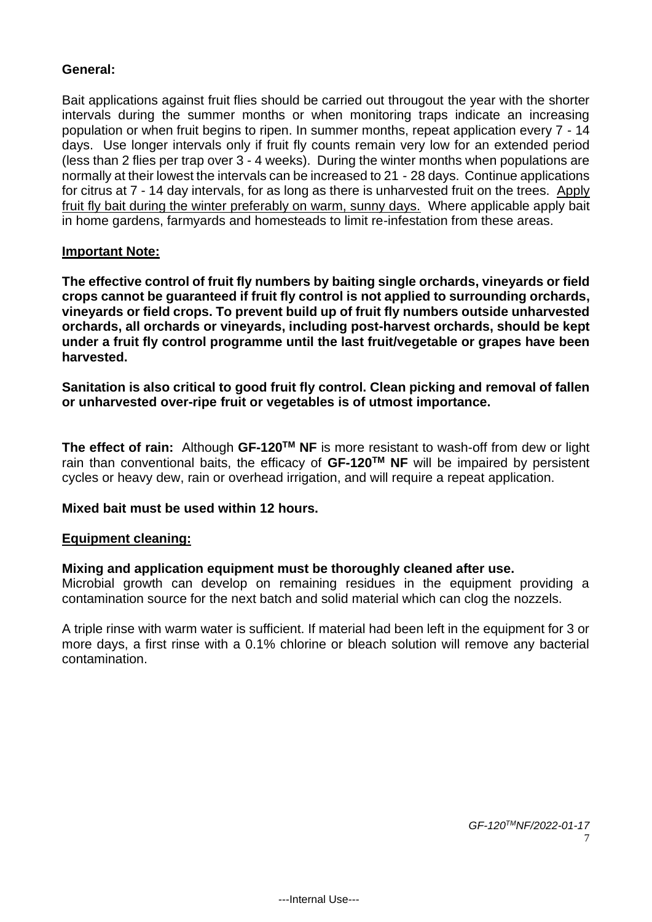#### **General:**

Bait applications against fruit flies should be carried out througout the year with the shorter intervals during the summer months or when monitoring traps indicate an increasing population or when fruit begins to ripen. In summer months, repeat application every 7 - 14 days. Use longer intervals only if fruit fly counts remain very low for an extended period (less than 2 flies per trap over 3 - 4 weeks). During the winter months when populations are normally at their lowest the intervals can be increased to 21 - 28 days. Continue applications for citrus at 7 - 14 day intervals, for as long as there is unharvested fruit on the trees. Apply fruit fly bait during the winter preferably on warm, sunny days. Where applicable apply bait in home gardens, farmyards and homesteads to limit re-infestation from these areas.

#### **Important Note:**

**The effective control of fruit fly numbers by baiting single orchards, vineyards or field crops cannot be guaranteed if fruit fly control is not applied to surrounding orchards, vineyards or field crops. To prevent build up of fruit fly numbers outside unharvested orchards, all orchards or vineyards, including post-harvest orchards, should be kept under a fruit fly control programme until the last fruit/vegetable or grapes have been harvested.**

**Sanitation is also critical to good fruit fly control. Clean picking and removal of fallen or unharvested over-ripe fruit or vegetables is of utmost importance.** 

**The effect of rain:** Although **GF-120TM NF** is more resistant to wash-off from dew or light rain than conventional baits, the efficacy of **GF-120TM NF** will be impaired by persistent cycles or heavy dew, rain or overhead irrigation, and will require a repeat application.

#### **Mixed bait must be used within 12 hours.**

#### **Equipment cleaning:**

#### **Mixing and application equipment must be thoroughly cleaned after use.**

Microbial growth can develop on remaining residues in the equipment providing a contamination source for the next batch and solid material which can clog the nozzels.

A triple rinse with warm water is sufficient. If material had been left in the equipment for 3 or more days, a first rinse with a 0.1% chlorine or bleach solution will remove any bacterial contamination.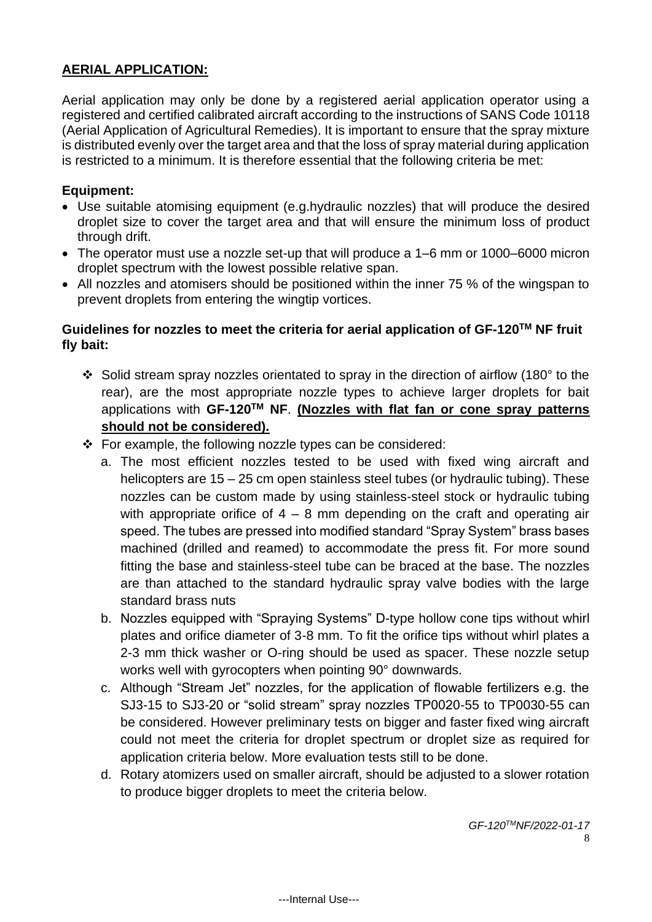# **AERIAL APPLICATION:**

Aerial application may only be done by a registered aerial application operator using a registered and certified calibrated aircraft according to the instructions of SANS Code 10118 (Aerial Application of Agricultural Remedies). It is important to ensure that the spray mixture is distributed evenly over the target area and that the loss of spray material during application is restricted to a minimum. It is therefore essential that the following criteria be met:

#### **Equipment:**

- Use suitable atomising equipment (e.g.hydraulic nozzles) that will produce the desired droplet size to cover the target area and that will ensure the minimum loss of product through drift.
- The operator must use a nozzle set-up that will produce a 1–6 mm or 1000–6000 micron droplet spectrum with the lowest possible relative span.
- All nozzles and atomisers should be positioned within the inner 75 % of the wingspan to prevent droplets from entering the wingtip vortices.

## **Guidelines for nozzles to meet the criteria for aerial application of GF-120TM NF fruit fly bait:**

- ❖ Solid stream spray nozzles orientated to spray in the direction of airflow (180° to the rear), are the most appropriate nozzle types to achieve larger droplets for bait applications with **GF-120TM NF**. **(Nozzles with flat fan or cone spray patterns should not be considered).**
- ❖ For example, the following nozzle types can be considered:
	- a. The most efficient nozzles tested to be used with fixed wing aircraft and helicopters are 15 – 25 cm open stainless steel tubes (or hydraulic tubing). These nozzles can be custom made by using stainless-steel stock or hydraulic tubing with appropriate orifice of  $4 - 8$  mm depending on the craft and operating air speed. The tubes are pressed into modified standard "Spray System" brass bases machined (drilled and reamed) to accommodate the press fit. For more sound fitting the base and stainless-steel tube can be braced at the base. The nozzles are than attached to the standard hydraulic spray valve bodies with the large standard brass nuts
	- b. Nozzles equipped with "Spraying Systems" D-type hollow cone tips without whirl plates and orifice diameter of 3-8 mm. To fit the orifice tips without whirl plates a 2-3 mm thick washer or O-ring should be used as spacer. These nozzle setup works well with gyrocopters when pointing 90° downwards.
	- c. Although "Stream Jet" nozzles, for the application of flowable fertilizers e.g. the SJ3-15 to SJ3-20 or "solid stream" spray nozzles TP0020-55 to TP0030-55 can be considered. However preliminary tests on bigger and faster fixed wing aircraft could not meet the criteria for droplet spectrum or droplet size as required for application criteria below. More evaluation tests still to be done.
	- d. Rotary atomizers used on smaller aircraft, should be adjusted to a slower rotation to produce bigger droplets to meet the criteria below.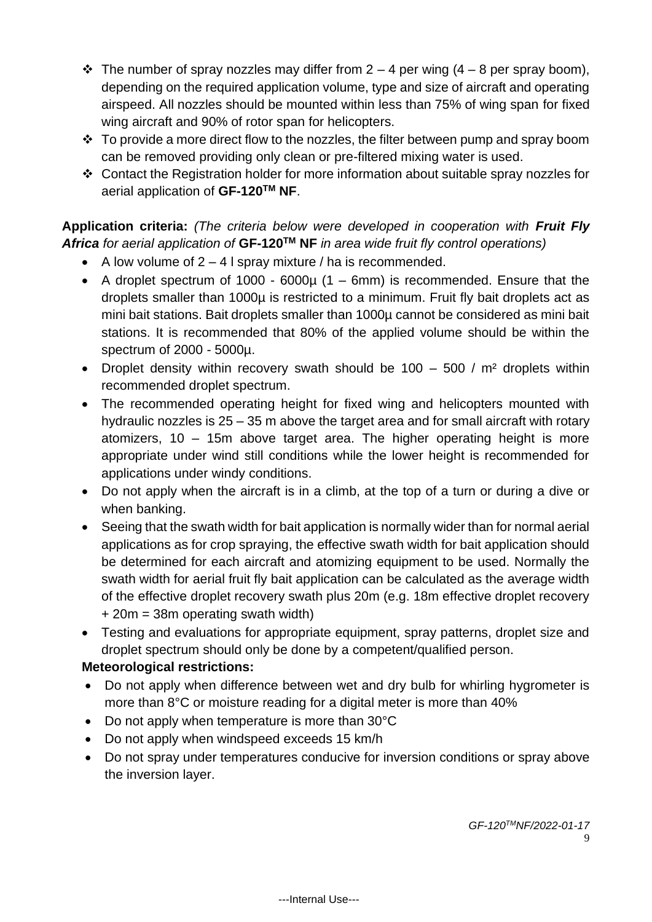- $\div$  The number of spray nozzles may differ from 2 4 per wing (4 8 per spray boom), depending on the required application volume, type and size of aircraft and operating airspeed. All nozzles should be mounted within less than 75% of wing span for fixed wing aircraft and 90% of rotor span for helicopters.
- $\cdot \cdot$  To provide a more direct flow to the nozzles, the filter between pump and spray boom can be removed providing only clean or pre-filtered mixing water is used.
- ❖ Contact the Registration holder for more information about suitable spray nozzles for aerial application of **GF-120TM NF**.

# **Application criteria:** *(The criteria below were developed in cooperation with Fruit Fly Africa for aerial application of* **GF-120TM NF** *in area wide fruit fly control operations)*

- A low volume of  $2 4$  I spray mixture / ha is recommended.
- A droplet spectrum of 1000 6000 $\mu$  (1 6mm) is recommended. Ensure that the droplets smaller than 1000µ is restricted to a minimum. Fruit fly bait droplets act as mini bait stations. Bait droplets smaller than 1000µ cannot be considered as mini bait stations. It is recommended that 80% of the applied volume should be within the spectrum of 2000 - 5000µ.
- Droplet density within recovery swath should be  $100 500 / m^2$  droplets within recommended droplet spectrum.
- The recommended operating height for fixed wing and helicopters mounted with hydraulic nozzles is 25 – 35 m above the target area and for small aircraft with rotary atomizers, 10 – 15m above target area. The higher operating height is more appropriate under wind still conditions while the lower height is recommended for applications under windy conditions.
- Do not apply when the aircraft is in a climb, at the top of a turn or during a dive or when banking.
- Seeing that the swath width for bait application is normally wider than for normal aerial applications as for crop spraying, the effective swath width for bait application should be determined for each aircraft and atomizing equipment to be used. Normally the swath width for aerial fruit fly bait application can be calculated as the average width of the effective droplet recovery swath plus 20m (e.g. 18m effective droplet recovery + 20m = 38m operating swath width)
- Testing and evaluations for appropriate equipment, spray patterns, droplet size and droplet spectrum should only be done by a competent/qualified person.

# **Meteorological restrictions:**

- Do not apply when difference between wet and dry bulb for whirling hygrometer is more than 8°C or moisture reading for a digital meter is more than 40%
- Do not apply when temperature is more than 30°C
- Do not apply when windspeed exceeds 15 km/h
- Do not spray under temperatures conducive for inversion conditions or spray above the inversion layer.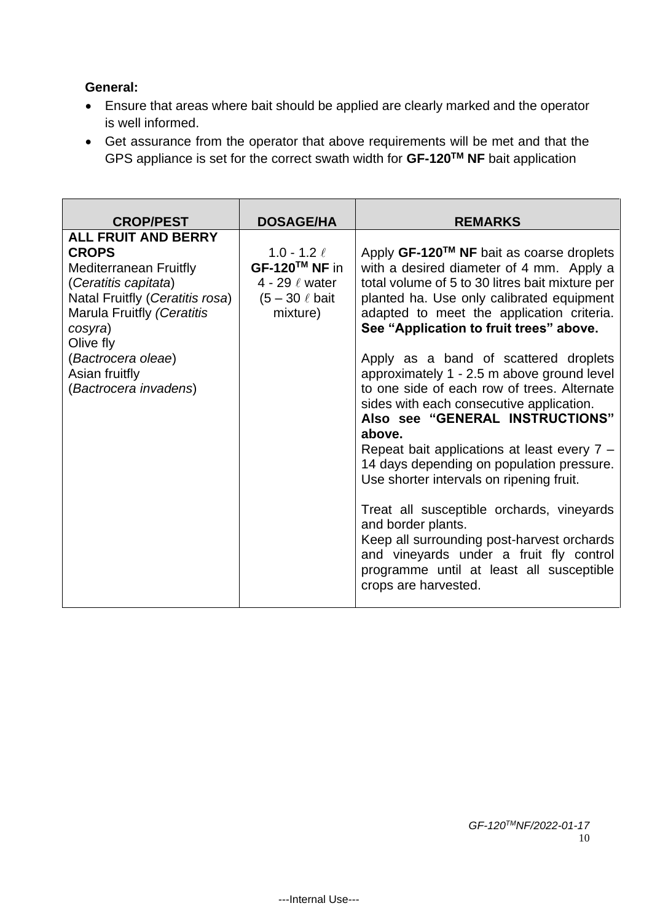# **General:**

- Ensure that areas where bait should be applied are clearly marked and the operator is well informed.
- Get assurance from the operator that above requirements will be met and that the GPS appliance is set for the correct swath width for **GF-120TM NF** bait application

| <b>CROP/PEST</b>                                                                                                                                                                                                                                              | <b>DOSAGE/HA</b>                                                                        | <b>REMARKS</b>                                                                                                                                                                                                                                                                                                                                                                                                                                                                                                                                                                                                                                                                                                                                                                                                                                                                            |
|---------------------------------------------------------------------------------------------------------------------------------------------------------------------------------------------------------------------------------------------------------------|-----------------------------------------------------------------------------------------|-------------------------------------------------------------------------------------------------------------------------------------------------------------------------------------------------------------------------------------------------------------------------------------------------------------------------------------------------------------------------------------------------------------------------------------------------------------------------------------------------------------------------------------------------------------------------------------------------------------------------------------------------------------------------------------------------------------------------------------------------------------------------------------------------------------------------------------------------------------------------------------------|
| <b>ALL FRUIT AND BERRY</b><br><b>CROPS</b><br><b>Mediterranean Fruitfly</b><br>(Ceratitis capitata)<br>Natal Fruitfly (Ceratitis rosa)<br>Marula Fruitfly (Ceratitis<br>cosyra)<br>Olive fly<br>(Bactrocera oleae)<br>Asian fruitfly<br>(Bactrocera invadens) | 1.0 - 1.2 $\ell$<br>GF-120™ NF in<br>4 - 29 / water<br>$(5 - 30 \ell)$ bait<br>mixture) | Apply $GF-120^{TM}$ NF bait as coarse droplets<br>with a desired diameter of 4 mm. Apply a<br>total volume of 5 to 30 litres bait mixture per<br>planted ha. Use only calibrated equipment<br>adapted to meet the application criteria.<br>See "Application to fruit trees" above.<br>Apply as a band of scattered droplets<br>approximately 1 - 2.5 m above ground level<br>to one side of each row of trees. Alternate<br>sides with each consecutive application.<br>Also see "GENERAL INSTRUCTIONS"<br>above.<br>Repeat bait applications at least every 7 -<br>14 days depending on population pressure.<br>Use shorter intervals on ripening fruit.<br>Treat all susceptible orchards, vineyards<br>and border plants.<br>Keep all surrounding post-harvest orchards<br>and vineyards under a fruit fly control<br>programme until at least all susceptible<br>crops are harvested. |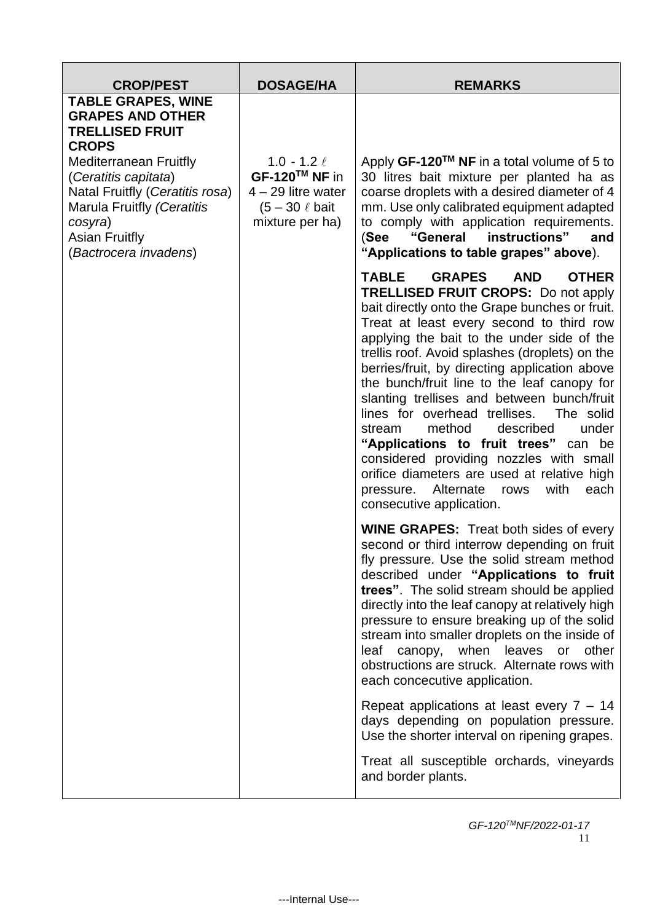| <b>CROP/PEST</b>                                                                                                                                                                                                                                                                      | <b>DOSAGE/HA</b>                                                                                     | <b>REMARKS</b>                                                                                                                                                                                                                                                                                                                                                                                                                                                                                                                                                                                                                                                                                                                                             |
|---------------------------------------------------------------------------------------------------------------------------------------------------------------------------------------------------------------------------------------------------------------------------------------|------------------------------------------------------------------------------------------------------|------------------------------------------------------------------------------------------------------------------------------------------------------------------------------------------------------------------------------------------------------------------------------------------------------------------------------------------------------------------------------------------------------------------------------------------------------------------------------------------------------------------------------------------------------------------------------------------------------------------------------------------------------------------------------------------------------------------------------------------------------------|
| <b>TABLE GRAPES, WINE</b><br><b>GRAPES AND OTHER</b><br><b>TRELLISED FRUIT</b><br><b>CROPS</b><br><b>Mediterranean Fruitfly</b><br>(Ceratitis capitata)<br>Natal Fruitfly (Ceratitis rosa)<br>Marula Fruitfly (Ceratitis<br>cosyra)<br><b>Asian Fruitfly</b><br>(Bactrocera invadens) | 1.0 - 1.2 $\ell$<br>GF-120™ NF in<br>$4 - 29$ litre water<br>$(5 - 30 \ell)$ bait<br>mixture per ha) | Apply GF-120 <sup>™</sup> NF in a total volume of 5 to<br>30 litres bait mixture per planted ha as<br>coarse droplets with a desired diameter of 4<br>mm. Use only calibrated equipment adapted<br>to comply with application requirements.<br>"General instructions"<br>(See<br>and<br>"Applications to table grapes" above).                                                                                                                                                                                                                                                                                                                                                                                                                             |
|                                                                                                                                                                                                                                                                                       |                                                                                                      | <b>TABLE</b><br><b>GRAPES</b><br><b>AND</b><br><b>OTHER</b><br><b>TRELLISED FRUIT CROPS: Do not apply</b><br>bait directly onto the Grape bunches or fruit.<br>Treat at least every second to third row<br>applying the bait to the under side of the<br>trellis roof. Avoid splashes (droplets) on the<br>berries/fruit, by directing application above<br>the bunch/fruit line to the leaf canopy for<br>slanting trellises and between bunch/fruit<br>lines for overhead trellises. The solid<br>method<br>described<br>under<br>stream<br>"Applications to fruit trees" can be<br>considered providing nozzles with small<br>orifice diameters are used at relative high<br>pressure.<br>Alternate<br>with<br>each<br>rows<br>consecutive application. |
|                                                                                                                                                                                                                                                                                       |                                                                                                      | <b>WINE GRAPES:</b> Treat both sides of every<br>second or third interrow depending on fruit<br>fly pressure. Use the solid stream method<br>described under "Applications to fruit<br>trees". The solid stream should be applied<br>directly into the leaf canopy at relatively high<br>pressure to ensure breaking up of the solid<br>stream into smaller droplets on the inside of<br>canopy, when leaves<br><b>or</b><br>other<br>leaf<br>obstructions are struck. Alternate rows with<br>each concecutive application.<br>Repeat applications at least every $7 - 14$<br>days depending on population pressure.<br>Use the shorter interval on ripening grapes.<br>Treat all susceptible orchards, vineyards<br>and border plants.                    |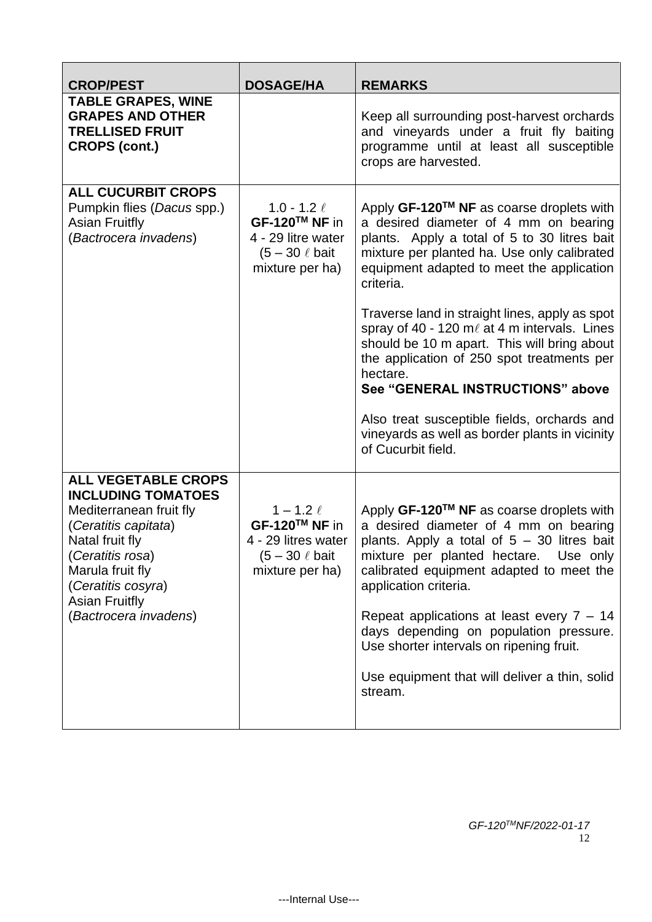| <b>CROP/PEST</b>                                                                                                                                                                                                                              | <b>DOSAGE/HA</b>                                                                                  | <b>REMARKS</b>                                                                                                                                                                                                                                                                                                                                                                                                                                    |
|-----------------------------------------------------------------------------------------------------------------------------------------------------------------------------------------------------------------------------------------------|---------------------------------------------------------------------------------------------------|---------------------------------------------------------------------------------------------------------------------------------------------------------------------------------------------------------------------------------------------------------------------------------------------------------------------------------------------------------------------------------------------------------------------------------------------------|
| <b>TABLE GRAPES, WINE</b><br><b>GRAPES AND OTHER</b><br><b>TRELLISED FRUIT</b><br><b>CROPS (cont.)</b>                                                                                                                                        |                                                                                                   | Keep all surrounding post-harvest orchards<br>and vineyards under a fruit fly baiting<br>programme until at least all susceptible<br>crops are harvested.                                                                                                                                                                                                                                                                                         |
| <b>ALL CUCURBIT CROPS</b><br>Pumpkin flies (Dacus spp.)<br><b>Asian Fruitfly</b><br>(Bactrocera invadens)                                                                                                                                     | 1.0 - 1.2 $\ell$<br>GF-120™ NF in<br>4 - 29 litre water<br>$(5 - 30 \ell$ bait<br>mixture per ha) | Apply GF-120™ NF as coarse droplets with<br>a desired diameter of 4 mm on bearing<br>plants. Apply a total of 5 to 30 litres bait<br>mixture per planted ha. Use only calibrated<br>equipment adapted to meet the application<br>criteria.                                                                                                                                                                                                        |
|                                                                                                                                                                                                                                               |                                                                                                   | Traverse land in straight lines, apply as spot<br>spray of 40 - 120 $m\ell$ at 4 m intervals. Lines<br>should be 10 m apart. This will bring about<br>the application of 250 spot treatments per<br>hectare.<br>See "GENERAL INSTRUCTIONS" above                                                                                                                                                                                                  |
|                                                                                                                                                                                                                                               |                                                                                                   | Also treat susceptible fields, orchards and<br>vineyards as well as border plants in vicinity<br>of Cucurbit field.                                                                                                                                                                                                                                                                                                                               |
| <b>ALL VEGETABLE CROPS</b><br><b>INCLUDING TOMATOES</b><br>Mediterranean fruit fly<br>(Ceratitis capitata)<br>Natal fruit fly<br>(Ceratitis rosa)<br>Marula fruit fly<br>(Ceratitis cosyra)<br><b>Asian Fruitfly</b><br>(Bactrocera invadens) | $1 - 1.2 \ell$<br>GF-120™ NF in<br>4 - 29 litres water<br>$(5 - 30 \ell)$ bait<br>mixture per ha) | Apply GF-120™ NF as coarse droplets with<br>a desired diameter of 4 mm on bearing<br>plants. Apply a total of $5 - 30$ litres bait<br>mixture per planted hectare. Use only<br>calibrated equipment adapted to meet the<br>application criteria.<br>Repeat applications at least every $7 - 14$<br>days depending on population pressure.<br>Use shorter intervals on ripening fruit.<br>Use equipment that will deliver a thin, solid<br>stream. |
|                                                                                                                                                                                                                                               |                                                                                                   |                                                                                                                                                                                                                                                                                                                                                                                                                                                   |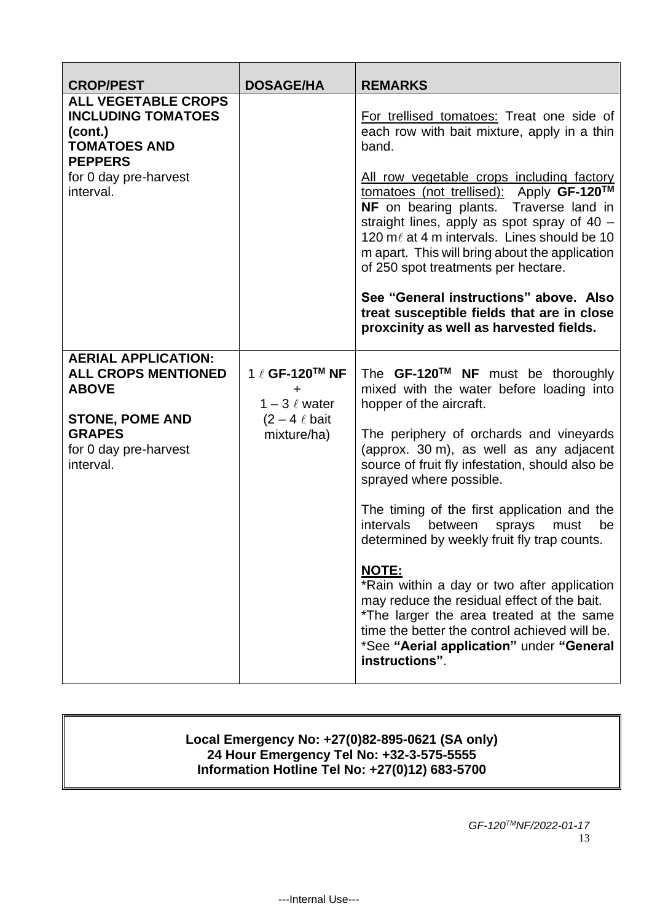| <b>CROP/PEST</b>                                                                                                                                          | <b>DOSAGE/HA</b>                                                                                     | <b>REMARKS</b>                                                                                                                                                                                                                                                                                                                                                                                                                                                                                                                                                                                                                                                                                      |
|-----------------------------------------------------------------------------------------------------------------------------------------------------------|------------------------------------------------------------------------------------------------------|-----------------------------------------------------------------------------------------------------------------------------------------------------------------------------------------------------------------------------------------------------------------------------------------------------------------------------------------------------------------------------------------------------------------------------------------------------------------------------------------------------------------------------------------------------------------------------------------------------------------------------------------------------------------------------------------------------|
| <b>ALL VEGETABLE CROPS</b><br><b>INCLUDING TOMATOES</b><br>(cont.)<br><b>TOMATOES AND</b><br><b>PEPPERS</b><br>for 0 day pre-harvest<br>interval.         |                                                                                                      | For trellised tomatoes: Treat one side of<br>each row with bait mixture, apply in a thin<br>band.<br><u>All row vegetable crops including factory</u><br>tomatoes (not trellised): Apply GF-120™<br>NF on bearing plants. Traverse land in<br>straight lines, apply as spot spray of 40 -<br>120 m/ at 4 m intervals. Lines should be 10<br>m apart. This will bring about the application<br>of 250 spot treatments per hectare.<br>See "General instructions" above. Also<br>treat susceptible fields that are in close<br>proxcinity as well as harvested fields.                                                                                                                                |
| <b>AERIAL APPLICATION:</b><br><b>ALL CROPS MENTIONED</b><br><b>ABOVE</b><br><b>STONE, POME AND</b><br><b>GRAPES</b><br>for 0 day pre-harvest<br>interval. | 1 ℓ GF-120 <sup>TM</sup> NF<br>٠<br>$1 - 3 \ell$ water<br>$(2 - 4 \ell \text{ bait})$<br>mixture/ha) | The GF-120™ NF must be thoroughly<br>mixed with the water before loading into<br>hopper of the aircraft.<br>The periphery of orchards and vineyards<br>(approx. 30 m), as well as any adjacent<br>source of fruit fly infestation, should also be<br>sprayed where possible.<br>The timing of the first application and the<br>intervals<br>between<br>sprays<br>be<br>must<br>determined by weekly fruit fly trap counts.<br><b>NOTE:</b><br>*Rain within a day or two after application<br>may reduce the residual effect of the bait.<br>*The larger the area treated at the same<br>time the better the control achieved will be.<br>*See "Aerial application" under "General<br>instructions". |

#### **Local Emergency No: +27(0)82-895-0621 (SA only) 24 Hour Emergency Tel No: +32-3-575-5555 Information Hotline Tel No: +27(0)12) 683-5700**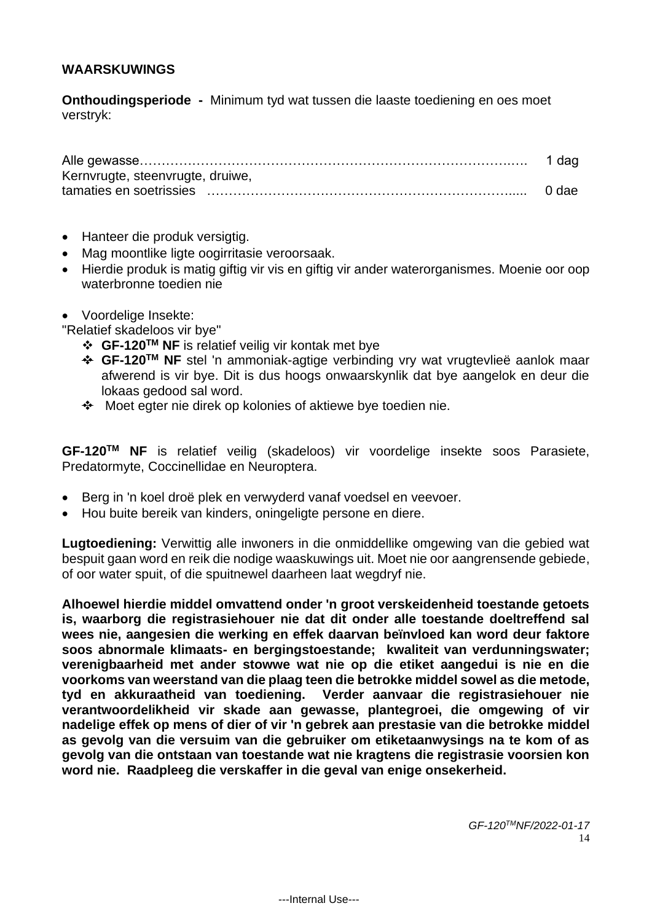#### **WAARSKUWINGS**

**Onthoudingsperiode -** Minimum tyd wat tussen die laaste toediening en oes moet verstryk:

| Kernvrugte, steenvrugte, druiwe, |  |
|----------------------------------|--|
|                                  |  |

- Hanteer die produk versigtig.
- Mag moontlike ligte oogirritasie veroorsaak.
- Hierdie produk is matig giftig vir vis en giftig vir ander waterorganismes. Moenie oor oop waterbronne toedien nie
- Voordelige Insekte:

"Relatief skadeloos vir bye"

- ❖ **GF-120TM NF** is relatief veilig vir kontak met bye
- ❖ **GF-120TM NF** stel 'n ammoniak-agtige verbinding vry wat vrugtevlieë aanlok maar afwerend is vir bye. Dit is dus hoogs onwaarskynlik dat bye aangelok en deur die lokaas gedood sal word.
- ❖ Moet egter nie direk op kolonies of aktiewe bye toedien nie.

**GF-120TM NF** is relatief veilig (skadeloos) vir voordelige insekte soos Parasiete, Predatormyte, Coccinellidae en Neuroptera.

- Berg in 'n koel droë plek en verwyderd vanaf voedsel en veevoer.
- Hou buite bereik van kinders, oningeligte persone en diere.

**Lugtoediening:** Verwittig alle inwoners in die onmiddellike omgewing van die gebied wat bespuit gaan word en reik die nodige waaskuwings uit. Moet nie oor aangrensende gebiede, of oor water spuit, of die spuitnewel daarheen laat wegdryf nie.

**Alhoewel hierdie middel omvattend onder 'n groot verskeidenheid toestande getoets is, waarborg die registrasiehouer nie dat dit onder alle toestande doeltreffend sal wees nie, aangesien die werking en effek daarvan beïnvloed kan word deur faktore soos abnormale klimaats- en bergingstoestande; kwaliteit van verdunningswater; verenigbaarheid met ander stowwe wat nie op die etiket aangedui is nie en die voorkoms van weerstand van die plaag teen die betrokke middel sowel as die metode, tyd en akkuraatheid van toediening. Verder aanvaar die registrasiehouer nie verantwoordelikheid vir skade aan gewasse, plantegroei, die omgewing of vir nadelige effek op mens of dier of vir 'n gebrek aan prestasie van die betrokke middel as gevolg van die versuim van die gebruiker om etiketaanwysings na te kom of as gevolg van die ontstaan van toestande wat nie kragtens die registrasie voorsien kon word nie. Raadpleeg die verskaffer in die geval van enige onsekerheid.**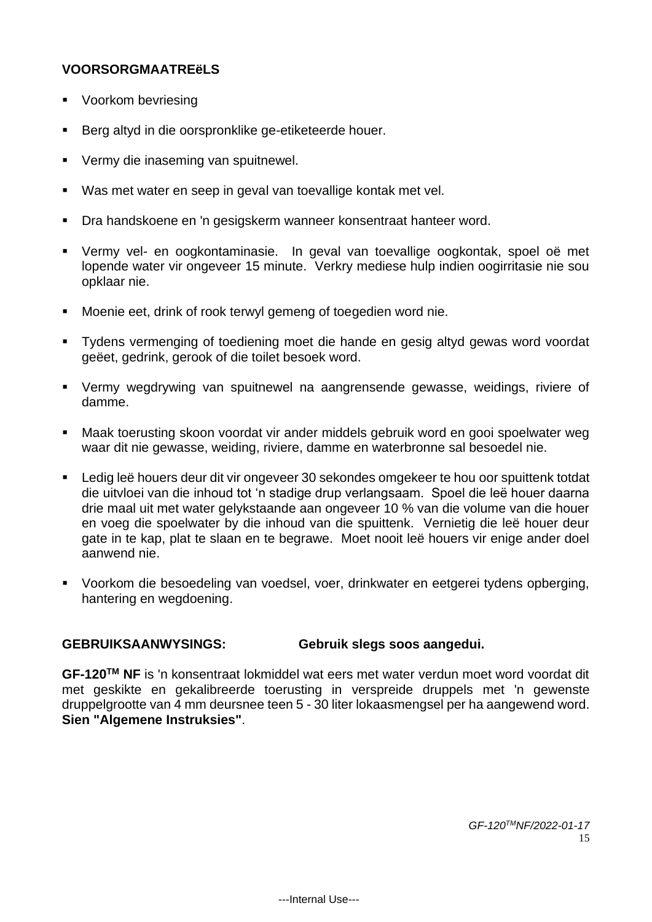## **VOORSORGMAATREëLS**

- Voorkom bevriesing
- Berg altyd in die oorspronklike ge-etiketeerde houer.
- Vermy die inaseming van spuitnewel.
- Was met water en seep in geval van toevallige kontak met vel.
- Dra handskoene en 'n gesigskerm wanneer konsentraat hanteer word.
- Vermy vel- en oogkontaminasie. In geval van toevallige oogkontak, spoel oë met lopende water vir ongeveer 15 minute. Verkry mediese hulp indien oogirritasie nie sou opklaar nie.
- Moenie eet, drink of rook terwyl gemeng of toegedien word nie.
- Tydens vermenging of toediening moet die hande en gesig altyd gewas word voordat geëet, gedrink, gerook of die toilet besoek word.
- Vermy wegdrywing van spuitnewel na aangrensende gewasse, weidings, riviere of damme.
- Maak toerusting skoon voordat vir ander middels gebruik word en gooi spoelwater weg waar dit nie gewasse, weiding, riviere, damme en waterbronne sal besoedel nie.
- Ledig leë houers deur dit vir ongeveer 30 sekondes omgekeer te hou oor spuittenk totdat die uitvloei van die inhoud tot 'n stadige drup verlangsaam. Spoel die leë houer daarna drie maal uit met water gelykstaande aan ongeveer 10 % van die volume van die houer en voeg die spoelwater by die inhoud van die spuittenk. Vernietig die leë houer deur gate in te kap, plat te slaan en te begrawe. Moet nooit leë houers vir enige ander doel aanwend nie.
- Voorkom die besoedeling van voedsel, voer, drinkwater en eetgerei tydens opberging, hantering en wegdoening.

# **GEBRUIKSAANWYSINGS: Gebruik slegs soos aangedui.**

**GF-120TM NF** is 'n konsentraat lokmiddel wat eers met water verdun moet word voordat dit met geskikte en gekalibreerde toerusting in verspreide druppels met 'n gewenste druppelgrootte van 4 mm deursnee teen 5 - 30 liter lokaasmengsel per ha aangewend word. **Sien "Algemene Instruksies"**.

> *GF-120TMNF/2022-01-17* 15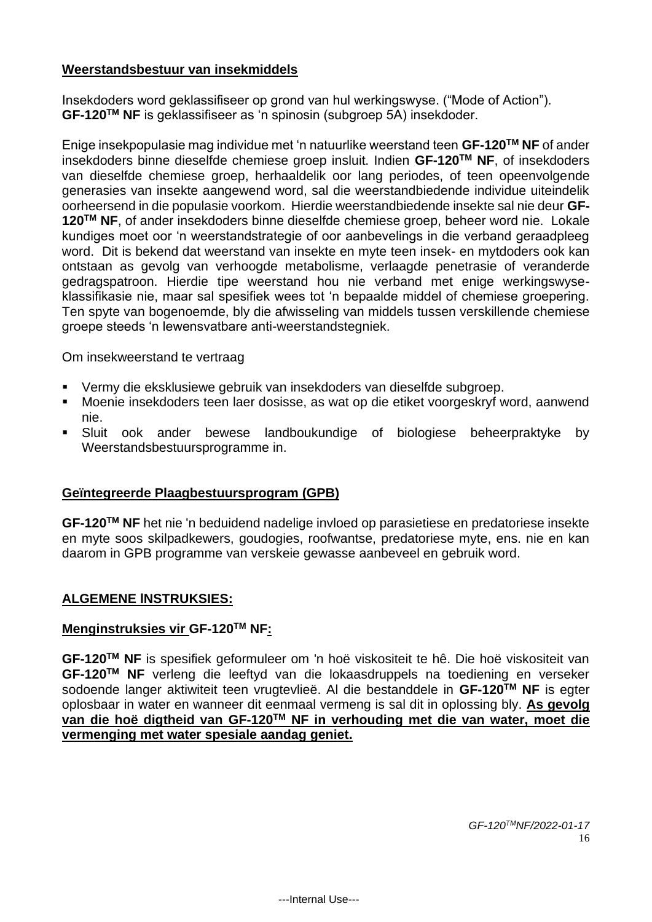#### **Weerstandsbestuur van insekmiddels**

Insekdoders word geklassifiseer op grond van hul werkingswyse. ("Mode of Action"). **GF-120TM NF** is geklassifiseer as 'n spinosin (subgroep 5A) insekdoder.

Enige insekpopulasie mag individue met 'n natuurlike weerstand teen **GF-120TM NF** of ander insekdoders binne dieselfde chemiese groep insluit. Indien **GF-120TM NF**, of insekdoders van dieselfde chemiese groep, herhaaldelik oor lang periodes, of teen opeenvolgende generasies van insekte aangewend word, sal die weerstandbiedende individue uiteindelik oorheersend in die populasie voorkom. Hierdie weerstandbiedende insekte sal nie deur **GF-120TM NF**, of ander insekdoders binne dieselfde chemiese groep, beheer word nie. Lokale kundiges moet oor 'n weerstandstrategie of oor aanbevelings in die verband geraadpleeg word. Dit is bekend dat weerstand van insekte en myte teen insek- en mytdoders ook kan ontstaan as gevolg van verhoogde metabolisme, verlaagde penetrasie of veranderde gedragspatroon. Hierdie tipe weerstand hou nie verband met enige werkingswyseklassifikasie nie, maar sal spesifiek wees tot 'n bepaalde middel of chemiese groepering. Ten spyte van bogenoemde, bly die afwisseling van middels tussen verskillende chemiese groepe steeds 'n lewensvatbare anti-weerstandstegniek.

Om insekweerstand te vertraag

- Vermy die eksklusiewe gebruik van insekdoders van dieselfde subgroep.
- Moenie insekdoders teen laer dosisse, as wat op die etiket voorgeskryf word, aanwend nie.
- Sluit ook ander bewese landboukundige of biologiese beheerpraktyke by Weerstandsbestuursprogramme in.

# **Geïntegreerde Plaagbestuursprogram (GPB)**

**GF-120TM NF** het nie 'n beduidend nadelige invloed op parasietiese en predatoriese insekte en myte soos skilpadkewers, goudogies, roofwantse, predatoriese myte, ens. nie en kan daarom in GPB programme van verskeie gewasse aanbeveel en gebruik word.

# **ALGEMENE lNSTRUKSIES:**

#### **Menginstruksies vir GF-120TM NF:**

**GF-120TM NF** is spesifiek geformuleer om 'n hoë viskositeit te hê. Die hoë viskositeit van **GF-120TM NF** verleng die leeftyd van die lokaasdruppels na toediening en verseker sodoende langer aktiwiteit teen vrugtevlieë. Al die bestanddele in **GF-120TM NF** is egter oplosbaar in water en wanneer dit eenmaal vermeng is sal dit in oplossing bly. **As gevolg van die hoë digtheid van GF-120TM NF in verhouding met die van water, moet die vermenging met water spesiale aandag geniet.**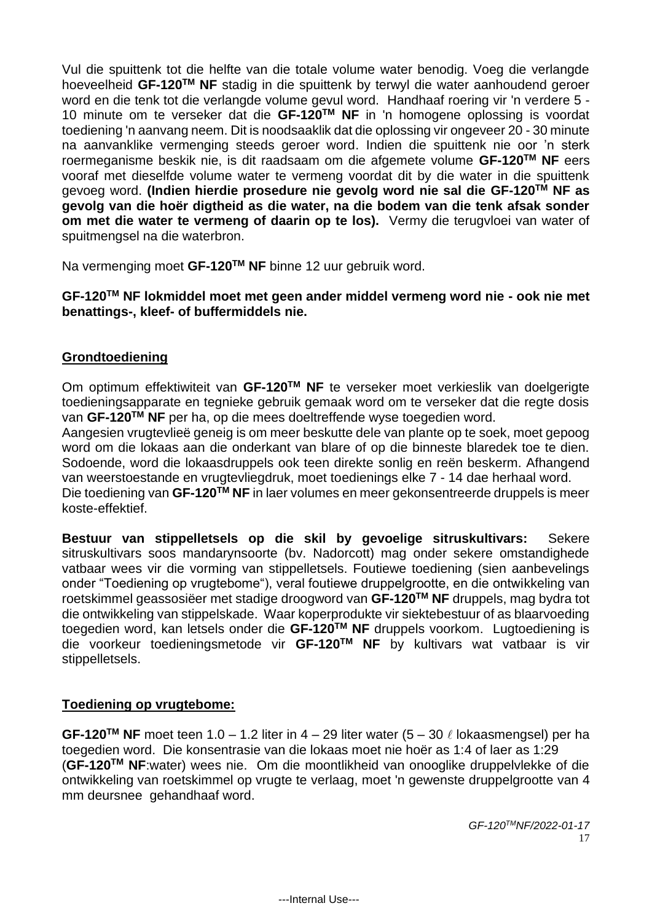Vul die spuittenk tot die helfte van die totale volume water benodig. Voeg die verlangde hoeveelheid **GF-120TM NF** stadig in die spuittenk by terwyl die water aanhoudend geroer word en die tenk tot die verlangde volume gevul word. Handhaaf roering vir 'n verdere 5 - 10 minute om te verseker dat die **GF-120TM NF** in 'n homogene oplossing is voordat toediening 'n aanvang neem. Dit is noodsaaklik dat die oplossing vir ongeveer 20 - 30 minute na aanvanklike vermenging steeds geroer word. Indien die spuittenk nie oor 'n sterk roermeganisme beskik nie, is dit raadsaam om die afgemete volume **GF-120TM NF** eers vooraf met dieselfde volume water te vermeng voordat dit by die water in die spuittenk gevoeg word. **(Indien hierdie prosedure nie gevolg word nie sal die GF-120TM NF as gevolg van die hoër digtheid as die water, na die bodem van die tenk afsak sonder om met die water te vermeng of daarin op te los).** Vermy die terugvloei van water of spuitmengsel na die waterbron.

Na vermenging moet **GF-120TM NF** binne 12 uur gebruik word.

#### **GF-120TM NF lokmiddel moet met geen ander middel vermeng word nie - ook nie met benattings-, kleef- of buffermiddels nie.**

# **Grondtoediening**

Om optimum effektiwiteit van **GF-120TM NF** te verseker moet verkieslik van doelgerigte toedieningsapparate en tegnieke gebruik gemaak word om te verseker dat die regte dosis van **GF-120TM NF** per ha, op die mees doeltreffende wyse toegedien word.

Aangesien vrugtevlieë geneig is om meer beskutte dele van plante op te soek, moet gepoog word om die lokaas aan die onderkant van blare of op die binneste blaredek toe te dien. Sodoende, word die lokaasdruppels ook teen direkte sonlig en reën beskerm. Afhangend van weerstoestande en vrugtevliegdruk, moet toedienings elke 7 - 14 dae herhaal word. Die toediening van **GF-120TM NF** in laer volumes en meer gekonsentreerde druppels is meer koste-effektief.

**Bestuur van stippelletsels op die skil by gevoelige sitruskultivars:** Sekere sitruskultivars soos mandarynsoorte (bv. Nadorcott) mag onder sekere omstandighede vatbaar wees vir die vorming van stippelletsels. Foutiewe toediening (sien aanbevelings onder "Toediening op vrugtebome"), veral foutiewe druppelgrootte, en die ontwikkeling van roetskimmel geassosiëer met stadige droogword van **GF-120TM NF** druppels, mag bydra tot die ontwikkeling van stippelskade. Waar koperprodukte vir siektebestuur of as blaarvoeding toegedien word, kan letsels onder die **GF-120TM NF** druppels voorkom. Lugtoediening is die voorkeur toedieningsmetode vir **GF-120TM NF** by kultivars wat vatbaar is vir stippelletsels.

# **Toediening op vrugtebome:**

**GF-120<sup>™</sup> NF** moet teen 1.0 – 1.2 liter in 4 – 29 liter water (5 – 30  $\ell$  lokaasmengsel) per ha toegedien word. Die konsentrasie van die lokaas moet nie hoër as 1:4 of laer as 1:29 (**GF-120TM NF**:water) wees nie. Om die moontlikheid van onooglike druppelvlekke of die ontwikkeling van roetskimmel op vrugte te verlaag, moet 'n gewenste druppelgrootte van 4 mm deursnee gehandhaaf word.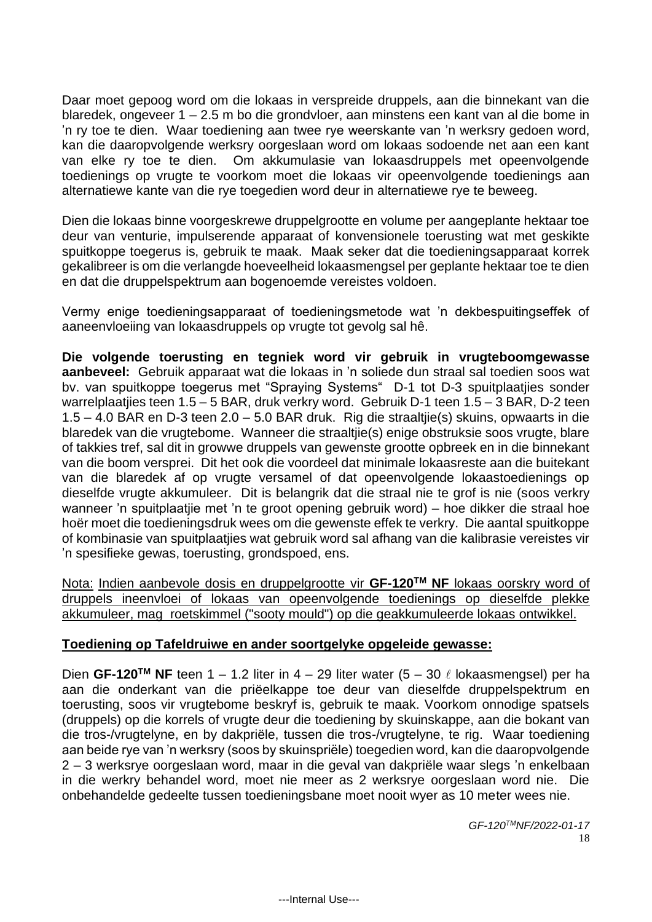Daar moet gepoog word om die lokaas in verspreide druppels, aan die binnekant van die blaredek, ongeveer 1 – 2.5 m bo die grondvloer, aan minstens een kant van al die bome in 'n ry toe te dien. Waar toediening aan twee rye weerskante van 'n werksry gedoen word, kan die daaropvolgende werksry oorgeslaan word om lokaas sodoende net aan een kant van elke ry toe te dien. Om akkumulasie van lokaasdruppels met opeenvolgende toedienings op vrugte te voorkom moet die lokaas vir opeenvolgende toedienings aan alternatiewe kante van die rye toegedien word deur in alternatiewe rye te beweeg.

Dien die lokaas binne voorgeskrewe druppelgrootte en volume per aangeplante hektaar toe deur van venturie, impulserende apparaat of konvensionele toerusting wat met geskikte spuitkoppe toegerus is, gebruik te maak. Maak seker dat die toedieningsapparaat korrek gekalibreer is om die verlangde hoeveelheid lokaasmengsel per geplante hektaar toe te dien en dat die druppelspektrum aan bogenoemde vereistes voldoen.

Vermy enige toedieningsapparaat of toedieningsmetode wat 'n dekbespuitingseffek of aaneenvloeiing van lokaasdruppels op vrugte tot gevolg sal hê.

**Die volgende toerusting en tegniek word vir gebruik in vrugteboomgewasse aanbeveel:** Gebruik apparaat wat die lokaas in 'n soliede dun straal sal toedien soos wat bv. van spuitkoppe toegerus met "Spraying Systems" D-1 tot D-3 spuitplaatjies sonder warrelplaatjies teen 1.5 – 5 BAR, druk verkry word. Gebruik D-1 teen 1.5 – 3 BAR, D-2 teen 1.5 – 4.0 BAR en D-3 teen 2.0 – 5.0 BAR druk. Rig die straaltjie(s) skuins, opwaarts in die blaredek van die vrugtebome. Wanneer die straaltjie(s) enige obstruksie soos vrugte, blare of takkies tref, sal dit in growwe druppels van gewenste grootte opbreek en in die binnekant van die boom versprei. Dit het ook die voordeel dat minimale lokaasreste aan die buitekant van die blaredek af op vrugte versamel of dat opeenvolgende lokaastoedienings op dieselfde vrugte akkumuleer. Dit is belangrik dat die straal nie te grof is nie (soos verkry wanneer 'n spuitplaatjie met 'n te groot opening gebruik word) – hoe dikker die straal hoe hoër moet die toedieningsdruk wees om die gewenste effek te verkry. Die aantal spuitkoppe of kombinasie van spuitplaatjies wat gebruik word sal afhang van die kalibrasie vereistes vir 'n spesifieke gewas, toerusting, grondspoed, ens.

Nota: Indien aanbevole dosis en druppelgrootte vir **GF-120TM NF** lokaas oorskry word of druppels ineenvloei of lokaas van opeenvolgende toedienings op dieselfde plekke akkumuleer, mag roetskimmel ("sooty mould") op die geakkumuleerde lokaas ontwikkel.

#### **Toediening op Tafeldruiwe en ander soortgelyke opgeleide gewasse:**

Dien GF-120<sup>TM</sup> NF teen 1 – 1.2 liter in 4 – 29 liter water  $(5 - 30 \ell \text{ lokaasmengsel})$  per ha aan die onderkant van die priëelkappe toe deur van dieselfde druppelspektrum en toerusting, soos vir vrugtebome beskryf is, gebruik te maak. Voorkom onnodige spatsels (druppels) op die korrels of vrugte deur die toediening by skuinskappe, aan die bokant van die tros-/vrugtelyne, en by dakpriële, tussen die tros-/vrugtelyne, te rig. Waar toediening aan beide rye van 'n werksry (soos by skuinspriële) toegedien word, kan die daaropvolgende 2 – 3 werksrye oorgeslaan word, maar in die geval van dakpriële waar slegs 'n enkelbaan in die werkry behandel word, moet nie meer as 2 werksrye oorgeslaan word nie. Die onbehandelde gedeelte tussen toedieningsbane moet nooit wyer as 10 meter wees nie.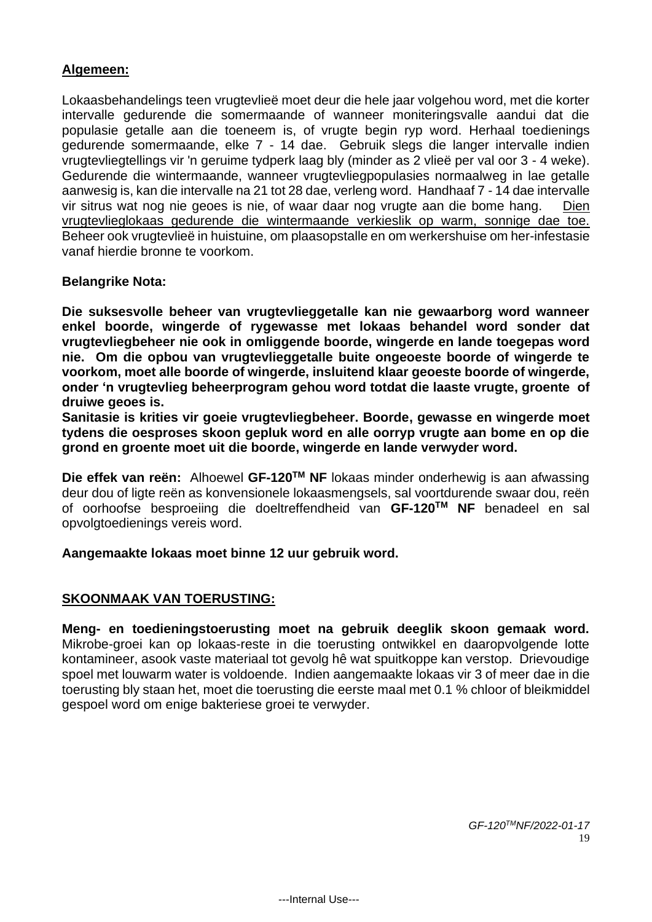### **Algemeen:**

Lokaasbehandelings teen vrugtevlieë moet deur die hele jaar volgehou word, met die korter intervalle gedurende die somermaande of wanneer moniteringsvalle aandui dat die populasie getalle aan die toeneem is, of vrugte begin ryp word. Herhaal toedienings gedurende somermaande, elke 7 - 14 dae. Gebruik slegs die langer intervalle indien vrugtevliegtellings vir 'n geruime tydperk laag bly (minder as 2 vlieë per val oor 3 - 4 weke). Gedurende die wintermaande, wanneer vrugtevliegpopulasies normaalweg in lae getalle aanwesig is, kan die intervalle na 21 tot 28 dae, verleng word. Handhaaf 7 - 14 dae intervalle vir sitrus wat nog nie geoes is nie, of waar daar nog vrugte aan die bome hang. Dien vrugtevlieglokaas gedurende die wintermaande verkieslik op warm, sonnige dae toe. Beheer ook vrugtevlieë in huistuine, om plaasopstalle en om werkershuise om her-infestasie vanaf hierdie bronne te voorkom.

#### **Belangrike Nota:**

**Die suksesvolle beheer van vrugtevlieggetalle kan nie gewaarborg word wanneer enkel boorde, wingerde of rygewasse met lokaas behandel word sonder dat vrugtevliegbeheer nie ook in omliggende boorde, wingerde en lande toegepas word nie. Om die opbou van vrugtevlieggetalle buite ongeoeste boorde of wingerde te voorkom, moet alle boorde of wingerde, insluitend klaar geoeste boorde of wingerde, onder 'n vrugtevlieg beheerprogram gehou word totdat die laaste vrugte, groente of druiwe geoes is.**

**Sanitasie is krities vir goeie vrugtevliegbeheer. Boorde, gewasse en wingerde moet tydens die oesproses skoon gepluk word en alle oorryp vrugte aan bome en op die grond en groente moet uit die boorde, wingerde en lande verwyder word.** 

**Die effek van reën:** Alhoewel **GF-120TM NF** lokaas minder onderhewig is aan afwassing deur dou of ligte reën as konvensionele lokaasmengsels, sal voortdurende swaar dou, reën of oorhoofse besproeiing die doeltreffendheid van **GF-120TM NF** benadeel en sal opvolgtoedienings vereis word.

**Aangemaakte lokaas moet binne 12 uur gebruik word.** 

# **SKOONMAAK VAN TOERUSTING:**

**Meng- en toedieningstoerusting moet na gebruik deeglik skoon gemaak word.** Mikrobe-groei kan op lokaas-reste in die toerusting ontwikkel en daaropvolgende lotte kontamineer, asook vaste materiaal tot gevolg hê wat spuitkoppe kan verstop. Drievoudige spoel met louwarm water is voldoende. Indien aangemaakte lokaas vir 3 of meer dae in die toerusting bly staan het, moet die toerusting die eerste maal met 0.1 % chloor of bleikmiddel gespoel word om enige bakteriese groei te verwyder.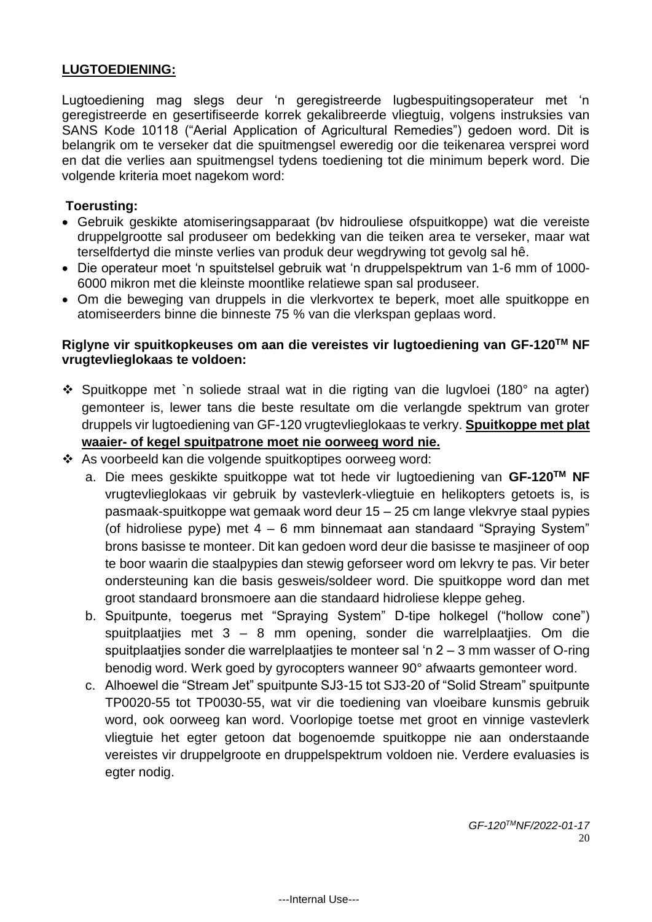#### **LUGTOEDIENING:**

Lugtoediening mag slegs deur 'n geregistreerde lugbespuitingsoperateur met 'n geregistreerde en gesertifiseerde korrek gekalibreerde vliegtuig, volgens instruksies van SANS Kode 10118 ("Aerial Application of Agricultural Remedies") gedoen word. Dit is belangrik om te verseker dat die spuitmengsel eweredig oor die teikenarea versprei word en dat die verlies aan spuitmengsel tydens toediening tot die minimum beperk word. Die volgende kriteria moet nagekom word:

#### **Toerusting:**

- Gebruik geskikte atomiseringsapparaat (bv hidrouliese ofspuitkoppe) wat die vereiste druppelgrootte sal produseer om bedekking van die teiken area te verseker, maar wat terselfdertyd die minste verlies van produk deur wegdrywing tot gevolg sal hê.
- Die operateur moet 'n spuitstelsel gebruik wat 'n druppelspektrum van 1-6 mm of 1000- 6000 mikron met die kleinste moontlike relatiewe span sal produseer.
- Om die beweging van druppels in die vlerkvortex te beperk, moet alle spuitkoppe en atomiseerders binne die binneste 75 % van die vlerkspan geplaas word.

## **Riglyne vir spuitkopkeuses om aan die vereistes vir lugtoediening van GF-120TM NF vrugtevlieglokaas te voldoen:**

- ❖ Spuitkoppe met `n soliede straal wat in die rigting van die lugvloei (180° na agter) gemonteer is, lewer tans die beste resultate om die verlangde spektrum van groter druppels vir lugtoediening van GF-120 vrugtevlieglokaas te verkry. **Spuitkoppe met plat waaier- of kegel spuitpatrone moet nie oorweeg word nie.**
- ❖ As voorbeeld kan die volgende spuitkoptipes oorweeg word:
	- a. Die mees geskikte spuitkoppe wat tot hede vir lugtoediening van **GF-120TM NF** vrugtevlieglokaas vir gebruik by vastevlerk-vliegtuie en helikopters getoets is, is pasmaak-spuitkoppe wat gemaak word deur 15 – 25 cm lange vlekvrye staal pypies (of hidroliese pype) met 4 – 6 mm binnemaat aan standaard "Spraying System" brons basisse te monteer. Dit kan gedoen word deur die basisse te masjineer of oop te boor waarin die staalpypies dan stewig geforseer word om lekvry te pas. Vir beter ondersteuning kan die basis gesweis/soldeer word. Die spuitkoppe word dan met groot standaard bronsmoere aan die standaard hidroliese kleppe geheg.
	- b. Spuitpunte, toegerus met "Spraying System" D-tipe holkegel ("hollow cone") spuitplaatjies met 3 – 8 mm opening, sonder die warrelplaatjies. Om die spuitplaatjies sonder die warrelplaatjies te monteer sal 'n 2 – 3 mm wasser of O-ring benodig word. Werk goed by gyrocopters wanneer 90° afwaarts gemonteer word.
	- c. Alhoewel die "Stream Jet" spuitpunte SJ3-15 tot SJ3-20 of "Solid Stream" spuitpunte TP0020-55 tot TP0030-55, wat vir die toediening van vloeibare kunsmis gebruik word, ook oorweeg kan word. Voorlopige toetse met groot en vinnige vastevlerk vliegtuie het egter getoon dat bogenoemde spuitkoppe nie aan onderstaande vereistes vir druppelgroote en druppelspektrum voldoen nie. Verdere evaluasies is egter nodig.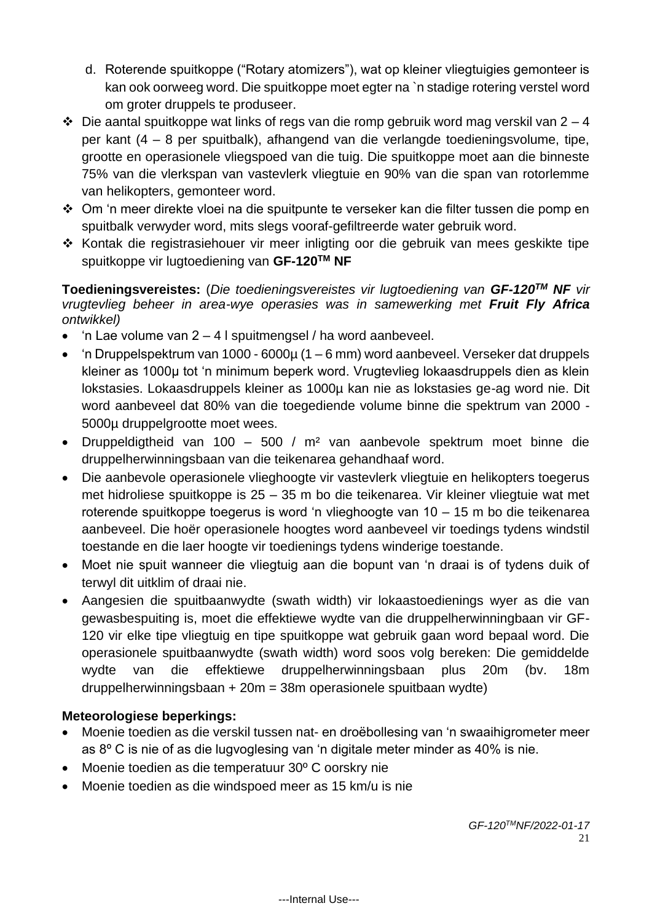- d. Roterende spuitkoppe ("Rotary atomizers"), wat op kleiner vliegtuigies gemonteer is kan ook oorweeg word. Die spuitkoppe moet egter na `n stadige rotering verstel word om groter druppels te produseer.
- $\div$  Die aantal spuitkoppe wat links of regs van die romp gebruik word mag verskil van 2 4 per kant (4 – 8 per spuitbalk), afhangend van die verlangde toedieningsvolume, tipe, grootte en operasionele vliegspoed van die tuig. Die spuitkoppe moet aan die binneste 75% van die vlerkspan van vastevlerk vliegtuie en 90% van die span van rotorlemme van helikopters, gemonteer word.
- ❖ Om 'n meer direkte vloei na die spuitpunte te verseker kan die filter tussen die pomp en spuitbalk verwyder word, mits slegs vooraf-gefiltreerde water gebruik word.
- ❖ Kontak die registrasiehouer vir meer inligting oor die gebruik van mees geskikte tipe spuitkoppe vir lugtoediening van **GF-120TM NF**

**Toedieningsvereistes:** (*Die toedieningsvereistes vir lugtoediening van GF-120TM NF vir vrugtevlieg beheer in area-wye operasies was in samewerking met Fruit Fly Africa ontwikkel)*

- 'n Lae volume van  $2 4$  I spuitmengsel / ha word aanbeveel.
- 'n Druppelspektrum van 1000 6000 $\mu$  (1 6 mm) word aanbeveel. Verseker dat druppels kleiner as 1000µ tot 'n minimum beperk word. Vrugtevlieg lokaasdruppels dien as klein lokstasies. Lokaasdruppels kleiner as 1000µ kan nie as lokstasies ge-ag word nie. Dit word aanbeveel dat 80% van die toegediende volume binne die spektrum van 2000 - 5000µ druppelgrootte moet wees.
- Druppeldigtheid van 100 500 / m² van aanbevole spektrum moet binne die druppelherwinningsbaan van die teikenarea gehandhaaf word.
- Die aanbevole operasionele vlieghoogte vir vastevlerk vliegtuie en helikopters toegerus met hidroliese spuitkoppe is 25 – 35 m bo die teikenarea. Vir kleiner vliegtuie wat met roterende spuitkoppe toegerus is word 'n vlieghoogte van 10 – 15 m bo die teikenarea aanbeveel. Die hoër operasionele hoogtes word aanbeveel vir toedings tydens windstil toestande en die laer hoogte vir toedienings tydens winderige toestande.
- Moet nie spuit wanneer die vliegtuig aan die bopunt van 'n draai is of tydens duik of terwyl dit uitklim of draai nie.
- Aangesien die spuitbaanwydte (swath width) vir lokaastoedienings wyer as die van gewasbespuiting is, moet die effektiewe wydte van die druppelherwinningbaan vir GF-120 vir elke tipe vliegtuig en tipe spuitkoppe wat gebruik gaan word bepaal word. Die operasionele spuitbaanwydte (swath width) word soos volg bereken: Die gemiddelde wydte van die effektiewe druppelherwinningsbaan plus 20m (bv. 18m druppelherwinningsbaan + 20m = 38m operasionele spuitbaan wydte)

# **Meteorologiese beperkings:**

- Moenie toedien as die verskil tussen nat- en droëbollesing van 'n swaaihigrometer meer as 8º C is nie of as die lugvoglesing van 'n digitale meter minder as 40% is nie.
- Moenie toedien as die temperatuur 30º C oorskry nie
- Moenie toedien as die windspoed meer as 15 km/u is nie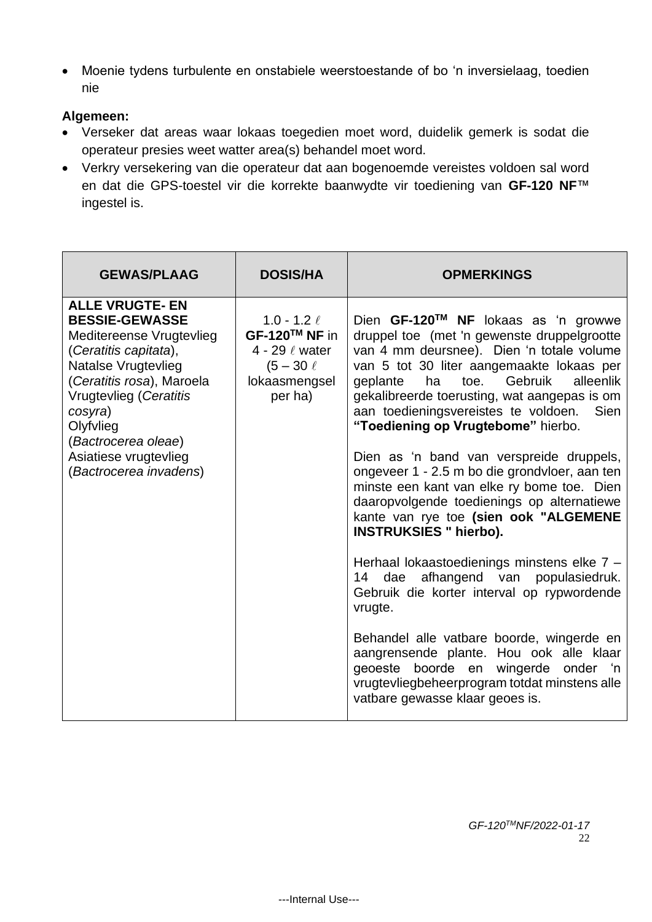• Moenie tydens turbulente en onstabiele weerstoestande of bo 'n inversielaag, toedien nie

## **Algemeen:**

- Verseker dat areas waar lokaas toegedien moet word, duidelik gemerk is sodat die operateur presies weet watter area(s) behandel moet word.
- Verkry versekering van die operateur dat aan bogenoemde vereistes voldoen sal word en dat die GPS-toestel vir die korrekte baanwydte vir toediening van **GF-120 NF**™ ingestel is.

| <b>GEWAS/PLAAG</b>                                                                                                                                                                                                                                                                          | <b>DOSIS/HA</b>                                                                                         | <b>OPMERKINGS</b>                                                                                                                                                                                                                                                                                                                                                                                                                                                                                                                                                                                                                                                                                                                                                                                   |
|---------------------------------------------------------------------------------------------------------------------------------------------------------------------------------------------------------------------------------------------------------------------------------------------|---------------------------------------------------------------------------------------------------------|-----------------------------------------------------------------------------------------------------------------------------------------------------------------------------------------------------------------------------------------------------------------------------------------------------------------------------------------------------------------------------------------------------------------------------------------------------------------------------------------------------------------------------------------------------------------------------------------------------------------------------------------------------------------------------------------------------------------------------------------------------------------------------------------------------|
| <b>ALLE VRUGTE- EN</b><br><b>BESSIE-GEWASSE</b><br>Meditereense Vrugtevlieg<br>(Ceratitis capitata),<br><b>Natalse Vrugtevlieg</b><br>(Ceratitis rosa), Maroela<br>Vrugtevlieg (Ceratitis<br>cosyra)<br>Olyfvlieg<br>(Bactrocerea oleae)<br>Asiatiese vrugtevlieg<br>(Bactrocerea invadens) | $1.0 - 1.2 \ell$<br>GF-120™ NF in<br>4 - 29 $\ell$ water<br>$(5 - 30 \ell)$<br>lokaasmengsel<br>per ha) | Dien GF-120™ NF lokaas as 'n growwe<br>druppel toe (met 'n gewenste druppelgrootte<br>van 4 mm deursnee). Dien 'n totale volume<br>van 5 tot 30 liter aangemaakte lokaas per<br>alleenlik<br>Gebruik<br>ha<br>toe.<br>geplante<br>gekalibreerde toerusting, wat aangepas is om<br>aan toedieningsvereistes te voldoen.<br><b>Sien</b><br>"Toediening op Vrugtebome" hierbo.<br>Dien as 'n band van verspreide druppels,<br>ongeveer 1 - 2.5 m bo die grondvloer, aan ten<br>minste een kant van elke ry bome toe. Dien<br>daaropvolgende toedienings op alternatiewe<br>kante van rye toe (sien ook "ALGEMENE<br><b>INSTRUKSIES " hierbo).</b><br>Herhaal lokaastoedienings minstens elke 7 -<br>afhangend van populasiedruk.<br>14<br>dae<br>Gebruik die korter interval op rypwordende<br>vrugte. |
|                                                                                                                                                                                                                                                                                             |                                                                                                         | Behandel alle vatbare boorde, wingerde en<br>aangrensende plante. Hou ook alle klaar<br>geoeste boorde en wingerde onder 'n<br>vrugtevliegbeheerprogram totdat minstens alle<br>vatbare gewasse klaar geoes is.                                                                                                                                                                                                                                                                                                                                                                                                                                                                                                                                                                                     |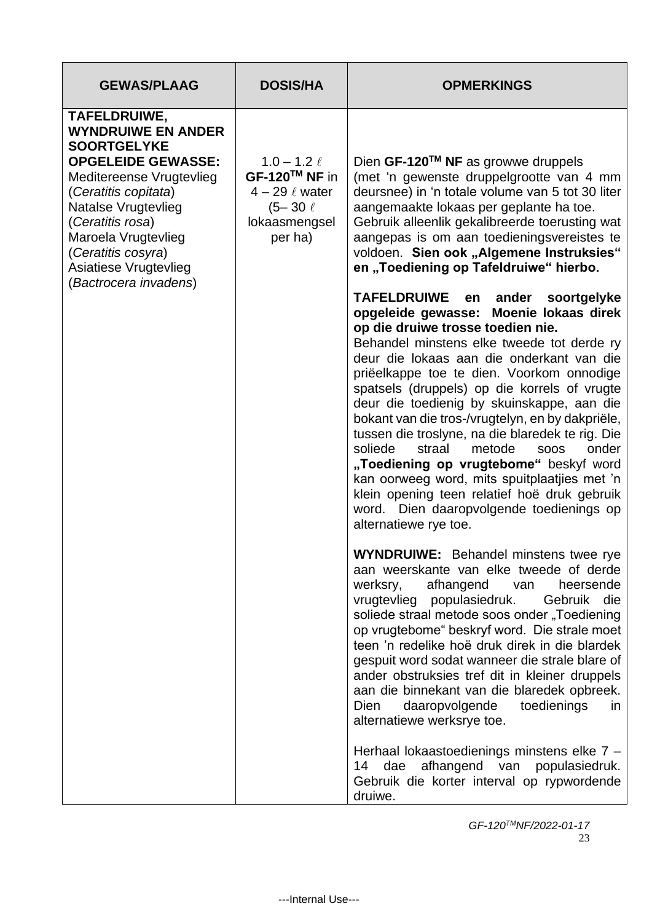| <b>GEWAS/PLAAG</b>                                                                                                                                                                                                                                                                         | <b>DOSIS/HA</b>                                                                                               | <b>OPMERKINGS</b>                                                                                                                                                                                                                                                                                                                                                                                                                                                                                                                                                                                                                 |
|--------------------------------------------------------------------------------------------------------------------------------------------------------------------------------------------------------------------------------------------------------------------------------------------|---------------------------------------------------------------------------------------------------------------|-----------------------------------------------------------------------------------------------------------------------------------------------------------------------------------------------------------------------------------------------------------------------------------------------------------------------------------------------------------------------------------------------------------------------------------------------------------------------------------------------------------------------------------------------------------------------------------------------------------------------------------|
| TAFELDRUIWE,<br><b>WYNDRUIWE EN ANDER</b><br><b>SOORTGELYKE</b><br><b>OPGELEIDE GEWASSE:</b><br>Meditereense Vrugtevlieg<br>(Ceratitis copitata)<br>Natalse Vrugtevlieg<br>(Ceratitis rosa)<br>Maroela Vrugtevlieg<br>(Ceratitis cosyra)<br>Asiatiese Vrugtevlieg<br>(Bactrocera invadens) | 1.0 – 1.2 $\ell$<br>$GF-120^{TM}$ NF in<br>$4 - 29 \ell$ water<br>$(5 - 30 \ell)$<br>lokaasmengsel<br>per ha) | Dien GF-120™ NF as growwe druppels<br>(met 'n gewenste druppelgrootte van 4 mm<br>deursnee) in 'n totale volume van 5 tot 30 liter<br>aangemaakte lokaas per geplante ha toe.<br>Gebruik alleenlik gekalibreerde toerusting wat<br>aangepas is om aan toedieningsvereistes te<br>voldoen. Sien ook "Algemene Instruksies"<br>en "Toediening op Tafeldruiwe" hierbo.<br>TAFELDRUIWE en ander<br>soortgelyke<br>opgeleide gewasse: Moenie lokaas direk<br>op die druiwe trosse toedien nie.<br>Behandel minstens elke tweede tot derde ry<br>deur die lokaas aan die onderkant van die<br>priëelkappe toe te dien. Voorkom onnodige |
|                                                                                                                                                                                                                                                                                            |                                                                                                               | spatsels (druppels) op die korrels of vrugte<br>deur die toedienig by skuinskappe, aan die<br>bokant van die tros-/vrugtelyn, en by dakpriële,<br>tussen die troslyne, na die blaredek te rig. Die<br>onder<br>soliede<br>straal<br>metode<br><b>SOOS</b><br>"Toediening op vrugtebome" beskyf word<br>kan oorweeg word, mits spuitplaatjies met 'n<br>klein opening teen relatief hoë druk gebruik<br>word. Dien daaropvolgende toedienings op<br>alternatiewe rye toe.                                                                                                                                                          |
|                                                                                                                                                                                                                                                                                            |                                                                                                               | <b>WYNDRUIWE:</b> Behandel minstens twee rye<br>aan weerskante van elke tweede of derde<br>afhangend<br>heersende<br>werksry,<br>van<br>vrugtevlieg populasiedruk.<br>Gebruik<br>die<br>soliede straal metode soos onder "Toediening<br>op vrugtebome" beskryf word. Die strale moet<br>teen 'n redelike hoë druk direk in die blardek<br>gespuit word sodat wanneer die strale blare of<br>ander obstruksies tref dit in kleiner druppels<br>aan die binnekant van die blaredek opbreek.<br>daaropvolgende<br>toedienings<br>Dien<br>in<br>alternatiewe werksrye toe.                                                            |
|                                                                                                                                                                                                                                                                                            |                                                                                                               | Herhaal lokaastoedienings minstens elke 7 -<br>afhangend van populasiedruk.<br>14<br>dae<br>Gebruik die korter interval op rypwordende<br>druiwe.                                                                                                                                                                                                                                                                                                                                                                                                                                                                                 |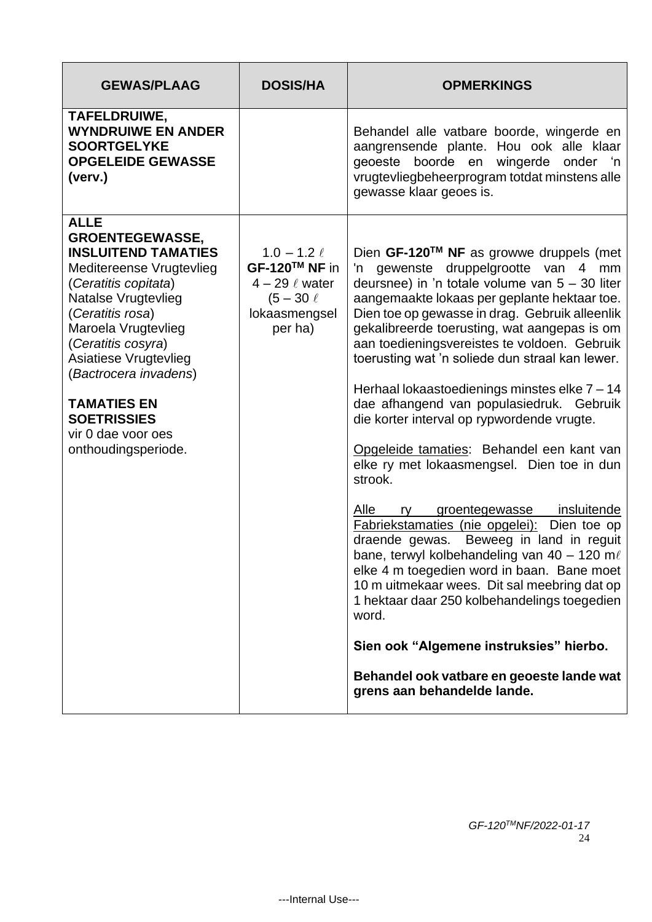| <b>GEWAS/PLAAG</b>                                                                                                                                                                                                                                                                                                                                         | <b>DOSIS/HA</b>                                                                                         | <b>OPMERKINGS</b>                                                                                                                                                                                                                                                                                                                                                                                                                                                                                                                                                                                                                                                                                                                                                                                                                                                                                                                                                                                                                                                                                                     |
|------------------------------------------------------------------------------------------------------------------------------------------------------------------------------------------------------------------------------------------------------------------------------------------------------------------------------------------------------------|---------------------------------------------------------------------------------------------------------|-----------------------------------------------------------------------------------------------------------------------------------------------------------------------------------------------------------------------------------------------------------------------------------------------------------------------------------------------------------------------------------------------------------------------------------------------------------------------------------------------------------------------------------------------------------------------------------------------------------------------------------------------------------------------------------------------------------------------------------------------------------------------------------------------------------------------------------------------------------------------------------------------------------------------------------------------------------------------------------------------------------------------------------------------------------------------------------------------------------------------|
| TAFELDRUIWE,<br><b>WYNDRUIWE EN ANDER</b><br><b>SOORTGELYKE</b><br><b>OPGELEIDE GEWASSE</b><br>(verv.)                                                                                                                                                                                                                                                     |                                                                                                         | Behandel alle vatbare boorde, wingerde en<br>aangrensende plante. Hou ook alle klaar<br>geoeste boorde en wingerde onder 'n<br>vrugtevliegbeheerprogram totdat minstens alle<br>gewasse klaar geoes is.                                                                                                                                                                                                                                                                                                                                                                                                                                                                                                                                                                                                                                                                                                                                                                                                                                                                                                               |
| <b>ALLE</b><br><b>GROENTEGEWASSE,</b><br><b>INSLUITEND TAMATIES</b><br>Meditereense Vrugtevlieg<br>(Ceratitis copitata)<br>Natalse Vrugtevlieg<br>(Ceratitis rosa)<br>Maroela Vrugtevlieg<br>(Ceratitis cosyra)<br>Asiatiese Vrugtevlieg<br>(Bactrocera invadens)<br><b>TAMATIES EN</b><br><b>SOETRISSIES</b><br>vir 0 dae voor oes<br>onthoudingsperiode. | $1.0 - 1.2 \ell$<br>GF-120™ NF in<br>$4 - 29 \ell$ water<br>$(5 - 30 \ell)$<br>lokaasmengsel<br>per ha) | Dien GF-120™ NF as growwe druppels (met<br>'n gewenste druppelgrootte van 4 mm<br>deursnee) in 'n totale volume van $5 - 30$ liter<br>aangemaakte lokaas per geplante hektaar toe.<br>Dien toe op gewasse in drag. Gebruik alleenlik<br>gekalibreerde toerusting, wat aangepas is om<br>aan toedieningsvereistes te voldoen. Gebruik<br>toerusting wat 'n soliede dun straal kan lewer.<br>Herhaal lokaastoedienings minstes elke $7 - 14$<br>dae afhangend van populasiedruk. Gebruik<br>die korter interval op rypwordende vrugte.<br>Opgeleide tamaties: Behandel een kant van<br>elke ry met lokaasmengsel. Dien toe in dun<br>strook.<br>Alle<br>groentegewasse insluitende<br>ry -<br>Fabriekstamaties (nie opgelei): Dien toe op<br>draende gewas. Beweeg in land in reguit<br>bane, terwyl kolbehandeling van 40 - 120 m $\ell$<br>elke 4 m toegedien word in baan. Bane moet<br>10 m uitmekaar wees. Dit sal meebring dat op<br>1 hektaar daar 250 kolbehandelings toegedien<br>word.<br>Sien ook "Algemene instruksies" hierbo.<br>Behandel ook vatbare en geoeste lande wat<br>grens aan behandelde lande. |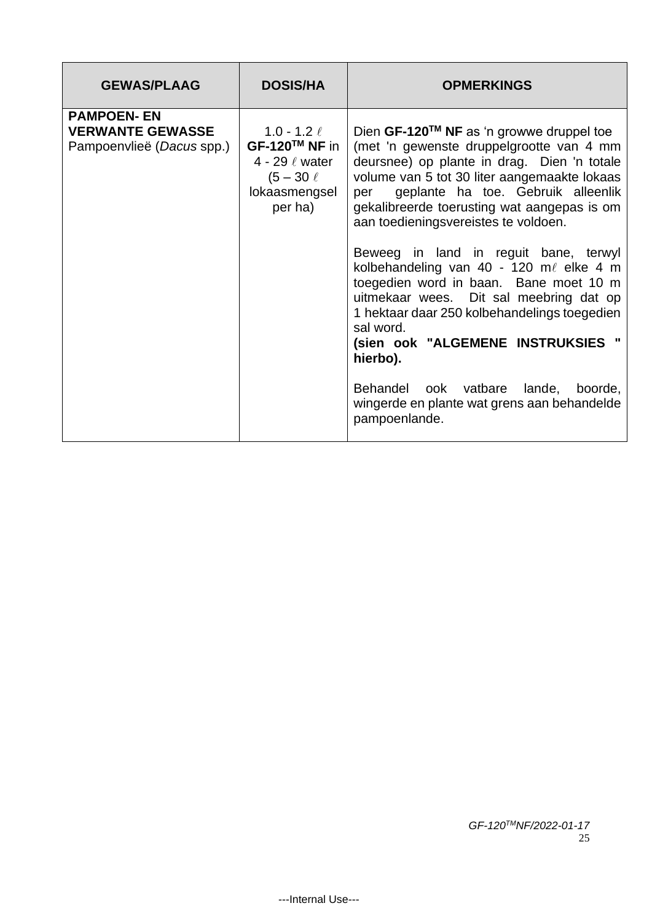| <b>GEWAS/PLAAG</b>                                                        | <b>DOSIS/HA</b>                                                                                         | <b>OPMERKINGS</b>                                                                                                                                                                                                                                                                                                                                                                                                                                                                                                                                                                                                                                                                                                              |
|---------------------------------------------------------------------------|---------------------------------------------------------------------------------------------------------|--------------------------------------------------------------------------------------------------------------------------------------------------------------------------------------------------------------------------------------------------------------------------------------------------------------------------------------------------------------------------------------------------------------------------------------------------------------------------------------------------------------------------------------------------------------------------------------------------------------------------------------------------------------------------------------------------------------------------------|
| <b>PAMPOEN-EN</b><br><b>VERWANTE GEWASSE</b><br>Pampoenvlieë (Dacus spp.) | 1.0 - 1.2 $\ell$<br>GF-120™ NF in<br>4 - 29 $\ell$ water<br>$(5 - 30 \ell)$<br>lokaasmengsel<br>per ha) | Dien GF-120™ NF as 'n growwe druppel toe<br>(met 'n gewenste druppelgrootte van 4 mm<br>deursnee) op plante in drag. Dien 'n totale<br>volume van 5 tot 30 liter aangemaakte lokaas<br>geplante ha toe. Gebruik alleenlik<br>per<br>gekalibreerde toerusting wat aangepas is om<br>aan toedieningsvereistes te voldoen.<br>Beweeg in land in reguit bane, terwyl<br>kolbehandeling van 40 - 120 m $\ell$ elke 4 m<br>toegedien word in baan. Bane moet 10 m<br>uitmekaar wees. Dit sal meebring dat op<br>1 hektaar daar 250 kolbehandelings toegedien<br>sal word.<br>(sien ook "ALGEMENE INSTRUKSIES "<br>hierbo).<br>Behandel ook vatbare lande,<br>boorde,<br>wingerde en plante wat grens aan behandelde<br>pampoenlande. |